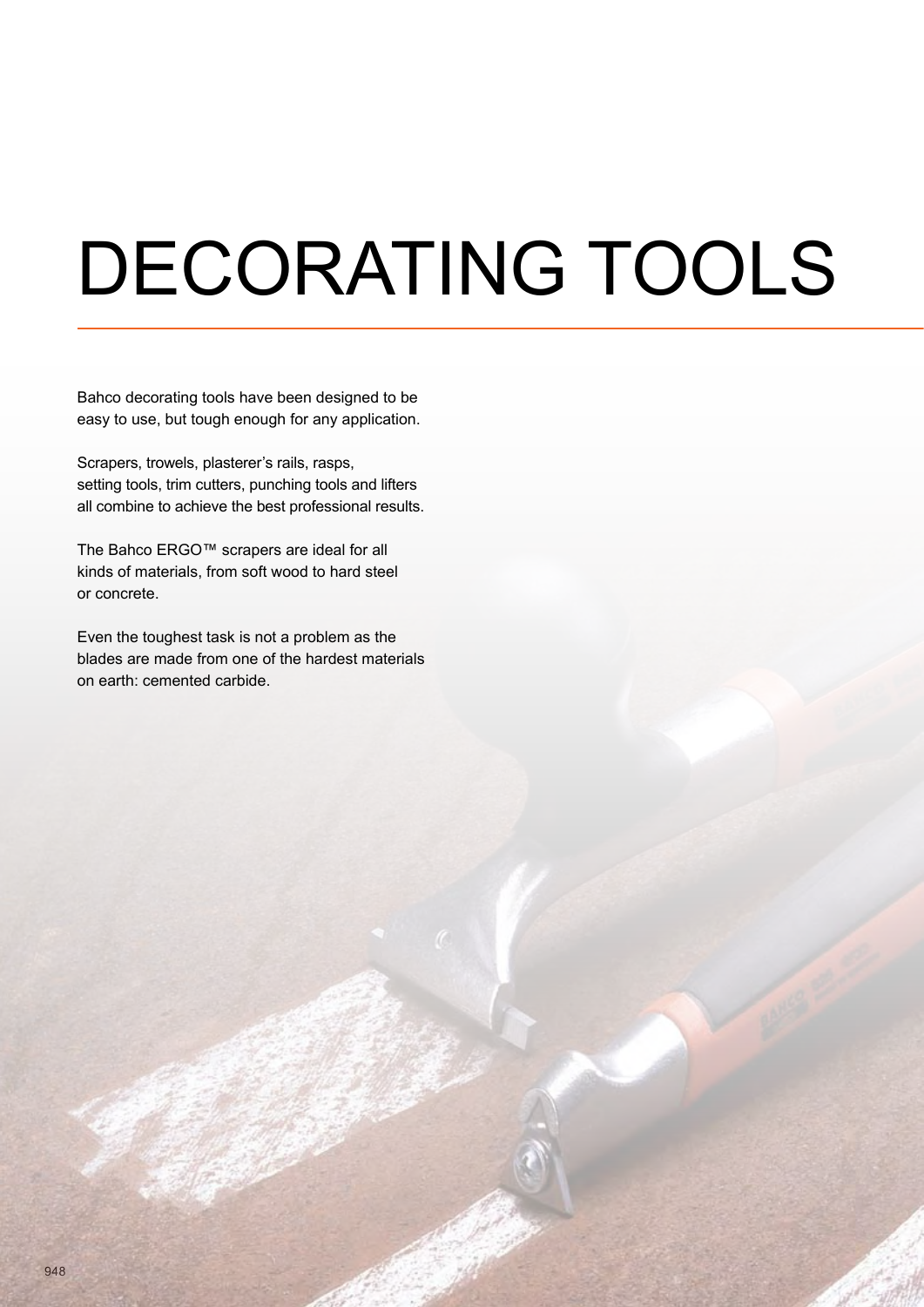# DECORATING TOOLS

Bahco decorating tools have been designed to be easy to use, but tough enough for any application.

Scrapers, trowels, plasterer's rails, rasps, setting tools, trim cutters, punching tools and lifters all combine to achieve the best professional results.

The Bahco ERGO™ scrapers are ideal for all kinds of materials, from soft wood to hard steel or concrete.

Even the toughest task is not a problem as the blades are made from one of the hardest materials on earth: cemented carbide.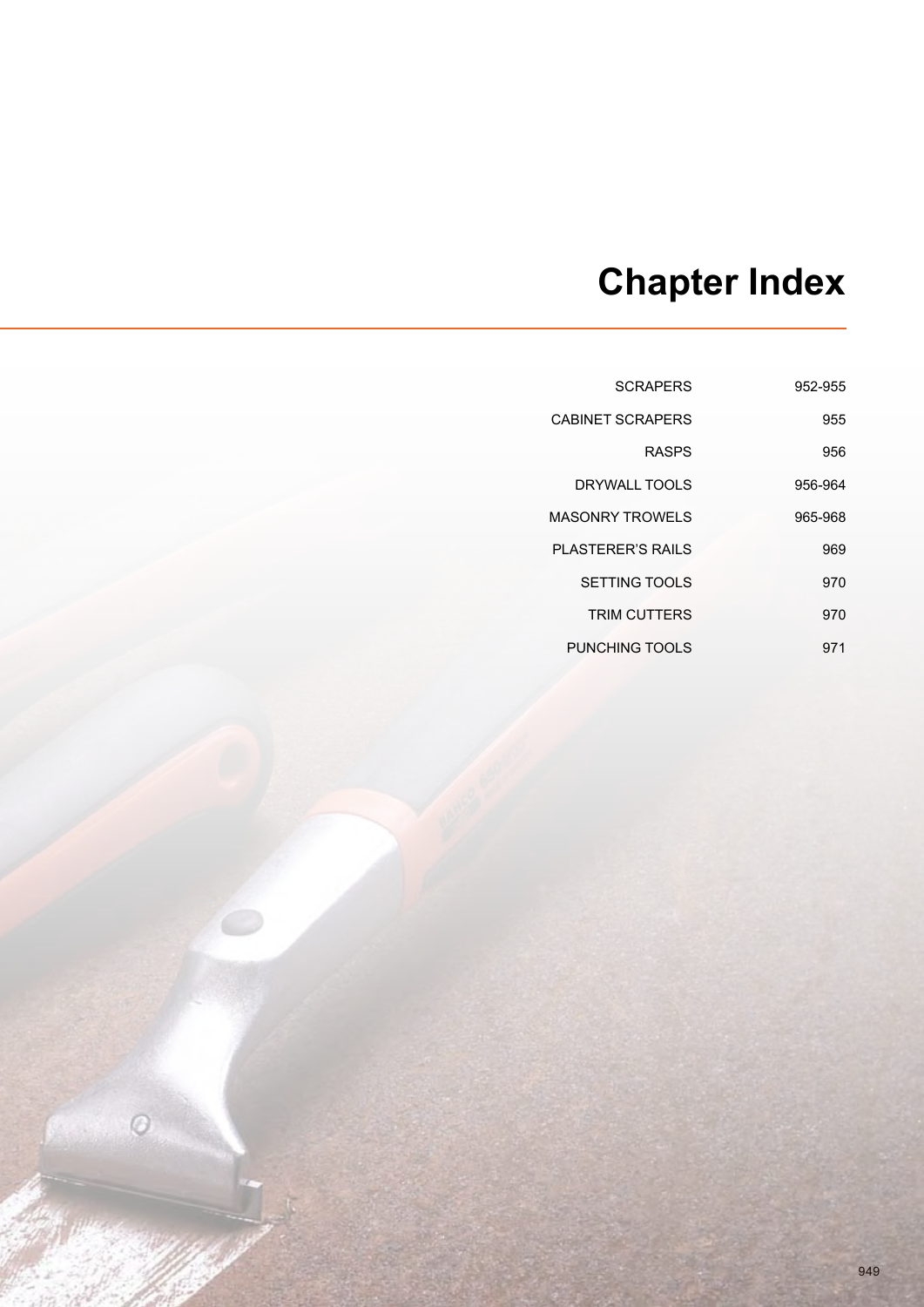## **Chapter Index**

| 952-955 | <b>SCRAPERS</b>         |
|---------|-------------------------|
| 955     | <b>CABINET SCRAPERS</b> |
| 956     | <b>RASPS</b>            |
| 956-964 | DRYWALL TOOLS           |
| 965-968 | MASONRY TROWFLS         |
| 969     | PI ASTERER'S RAILS      |
| 970     | SETTING TOOLS           |
| 970     | <b>TRIM CUTTERS</b>     |
| 971     | PUNCHING TOOLS          |

 $\odot$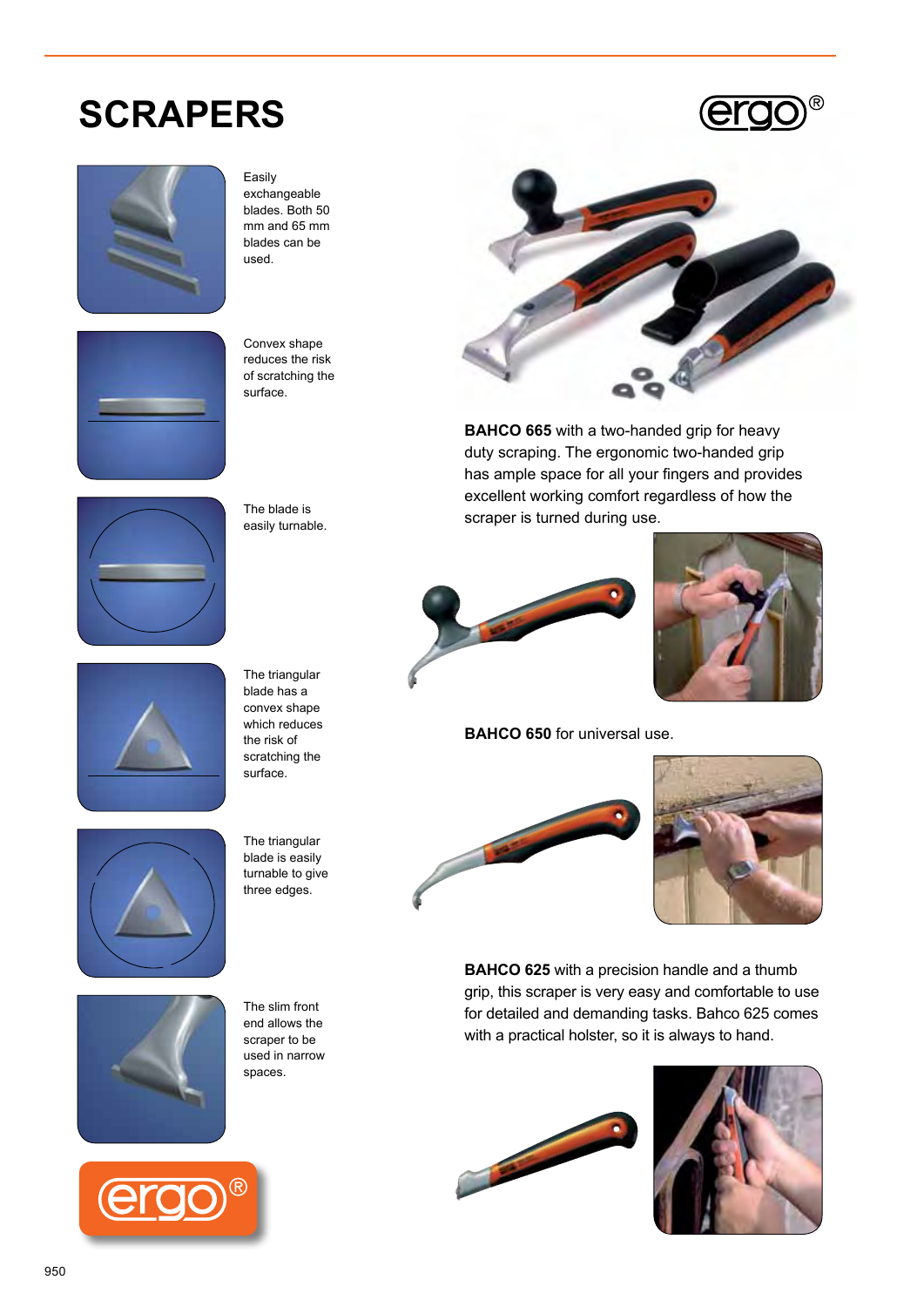## **SCRAPERS**





Easily exchangeable blades. Both 50 mm and 65 mm blades can be used.



Convex shape reduces the risk of scratching the surface.





The triangular blade has a convex shape which reduces the risk of scratching the surface.



The triangular blade is easily turnable to give three edges.



The slim front end allows the scraper to be used in narrow spaces.





**BAHCO 665** with a two-handed grip for heavy duty scraping. The ergonomic two-handed grip has ample space for all your fingers and provides excellent working comfort regardless of how the scraper is turned during use.



**BAHCO 650** for universal use.





**Bahco 625** with a precision handle and a thumb grip, this scraper is very easy and comfortable to use for detailed and demanding tasks. Bahco 625 comes with a practical holster, so it is always to hand.



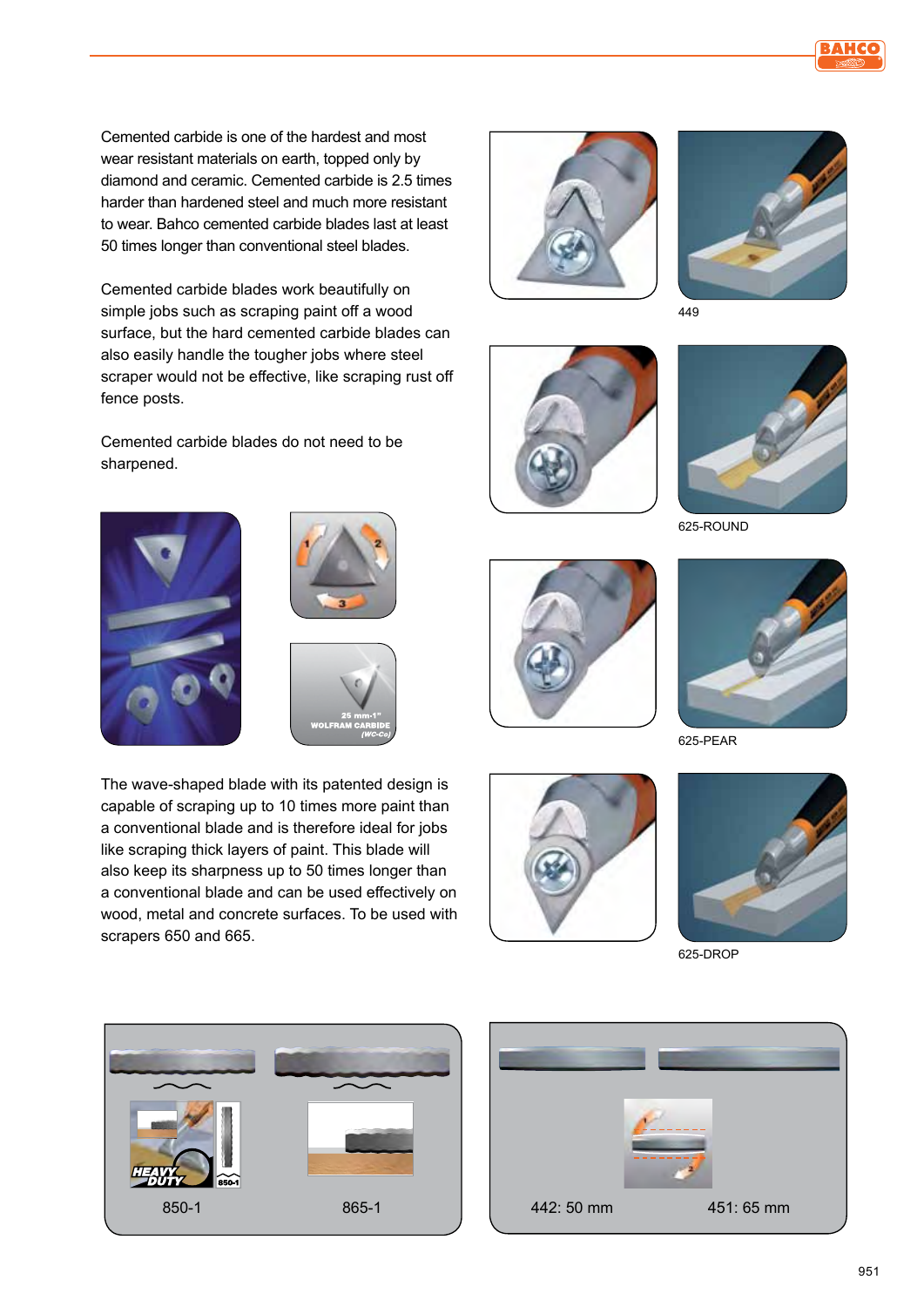Cemented carbide is one of the hardest and most wear resistant materials on earth, topped only by diamond and ceramic. Cemented carbide is 2.5 times harder than hardened steel and much more resistant to wear. Bahco cemented carbide blades last at least 50 times longer than conventional steel blades.

Cemented carbide blades work beautifully on simple jobs such as scraping paint off a wood surface, but the hard cemented carbide blades can also easily handle the tougher jobs where steel scraper would not be effective, like scraping rust off fence posts.

Cemented carbide blades do not need to be sharpened.







The wave-shaped blade with its patented design is capable of scraping up to 10 times more paint than a conventional blade and is therefore ideal for jobs like scraping thick layers of paint. This blade will also keep its sharpness up to 50 times longer than a conventional blade and can be used effectively on wood, metal and concrete surfaces. To be used with scrapers 650 and 665.





449





625-ROUND





625-PEAR





625-DROP



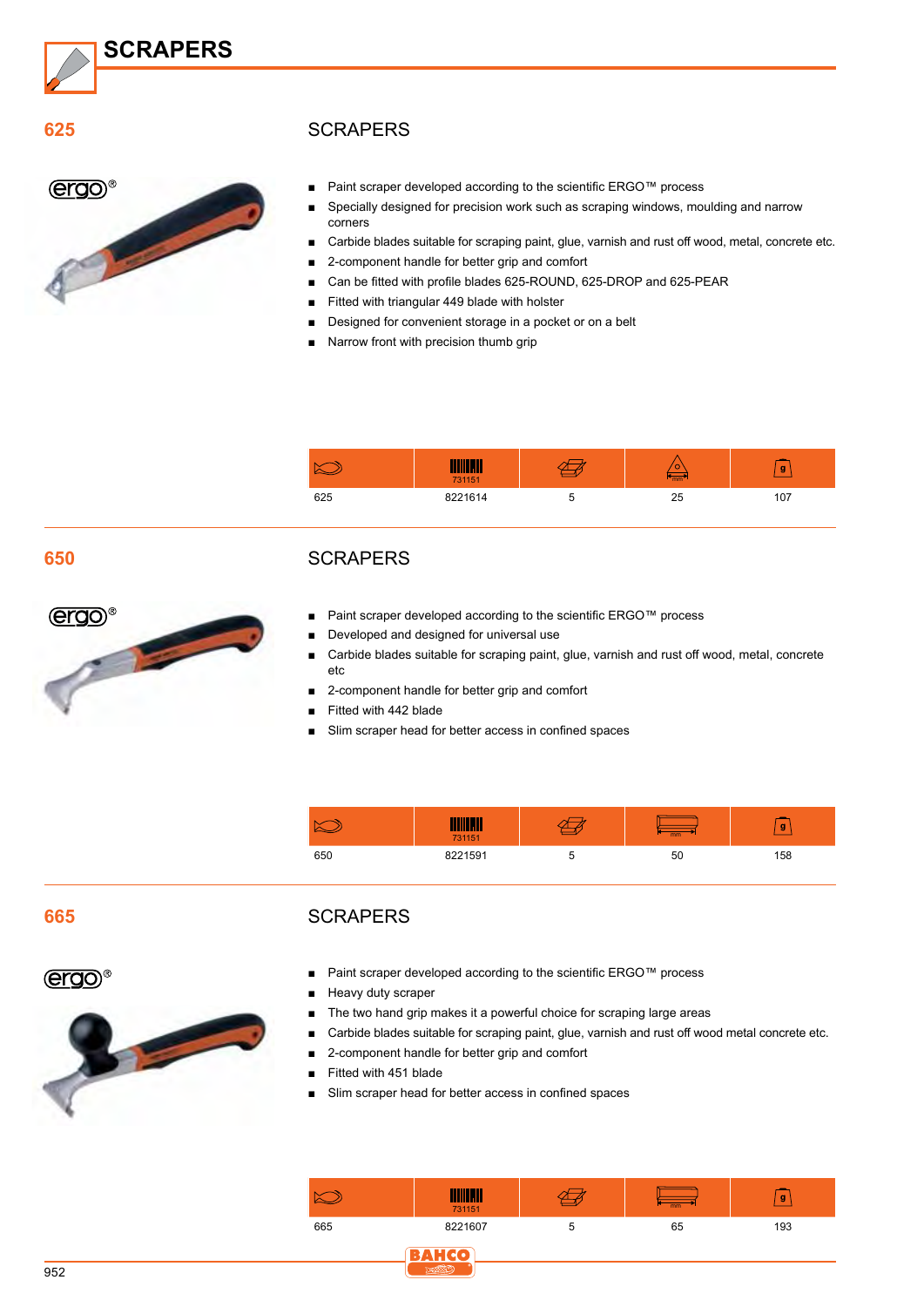

**625**

**ergo®** 

#### **SCRAPERS**

- Paint scraper developed according to the scientific ERGO™ process
	- Specially designed for precision work such as scraping windows, moulding and narrow corners
	- Carbide blades suitable for scraping paint, glue, varnish and rust off wood, metal, concrete etc.
	- 2-component handle for better grip and comfort
	- Can be fitted with profile blades 625-ROUND, 625-DROP and 625-PEAR
	- Fitted with triangular 449 blade with holster
	- Designed for convenient storage in a pocket or on a belt
	- Narrow front with precision thumb grip

|     |         | ◡  | g  |
|-----|---------|----|----|
| 625 | 8221614 | 25 | 07 |

#### **650**



#### **SCRAPERS**

- Paint scraper developed according to the scientific ERGO™ process
- Developed and designed for universal use
- Carbide blades suitable for scraping paint, glue, varnish and rust off wood, metal, concrete etc
- 2-component handle for better grip and comfort
- Fitted with 442 blade
- Slim scraper head for better access in confined spaces

|     | 731151  | mm | g   |
|-----|---------|----|-----|
| 650 | 8221501 | 50 | 158 |

#### **665**

#### **SCRAPERS**

**ergo**®



- Paint scraper developed according to the scientific ERGO™ process
- Heavy duty scraper
- The two hand grip makes it a powerful choice for scraping large areas
- Carbide blades suitable for scraping paint, glue, varnish and rust off wood metal concrete etc.
- 2-component handle for better grip and comfort
- Fitted with 451 blade
- Slim scraper head for better access in confined spaces

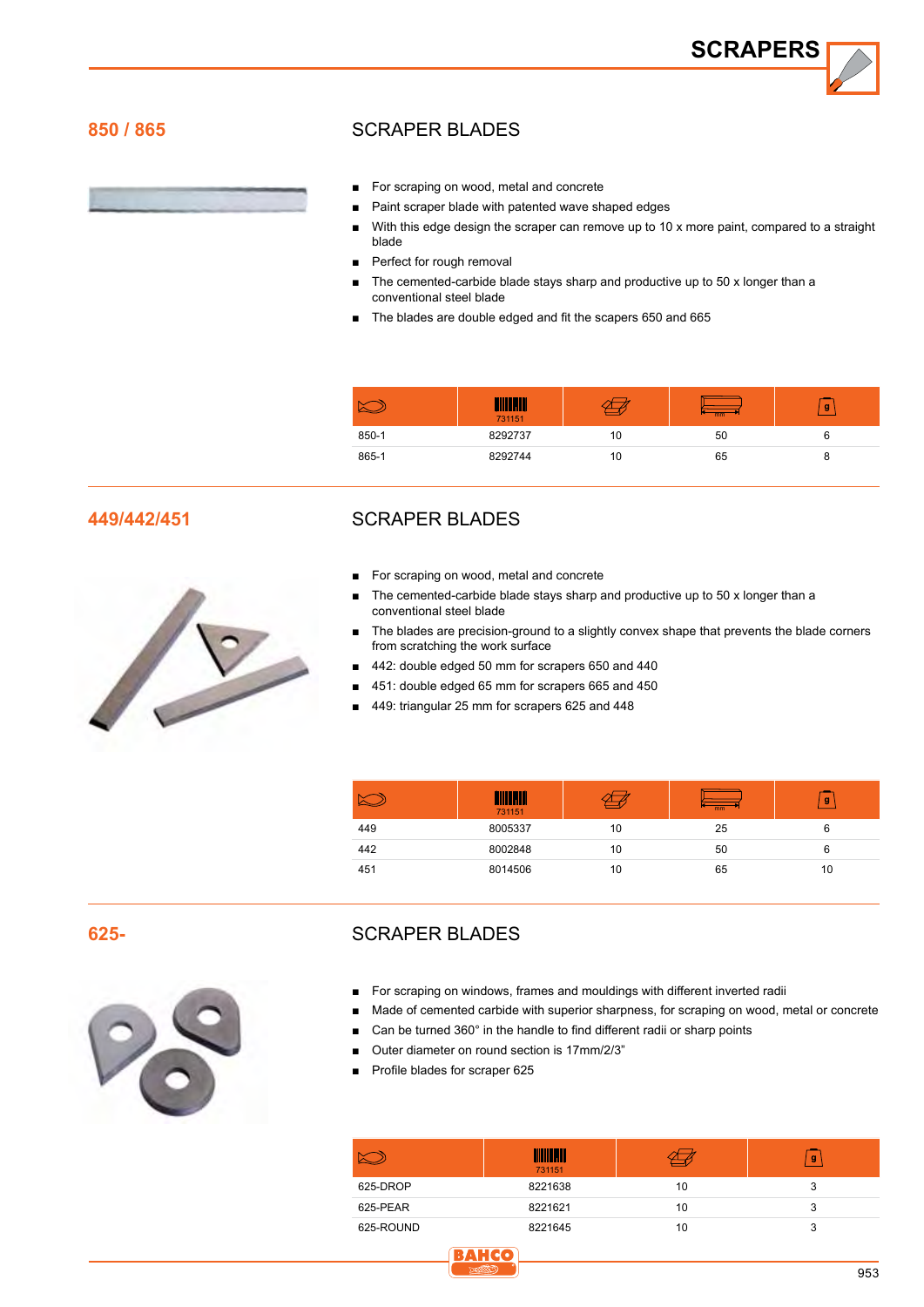**SCRAPERS**

#### **850 / 865**

#### SCRAPER BLADES

- For scraping on wood, metal and concrete
- Paint scraper blade with patented wave shaped edges
- With this edge design the scraper can remove up to 10 x more paint, compared to a straight blade
- Perfect for rough removal
- The cemented-carbide blade stays sharp and productive up to 50 x longer than a conventional steel blade
- The blades are double edged and fit the scapers 650 and 665

|       | 731151  |    | mm | g |
|-------|---------|----|----|---|
| 850-1 | 8292737 | 10 | 50 |   |
| 865-1 | 8292744 | 10 | 65 | ö |

#### **449/442/451**



Scraper blades

- For scraping on wood, metal and concrete
- The cemented-carbide blade stays sharp and productive up to 50 x longer than a conventional steel blade
- The blades are precision-ground to a slightly convex shape that prevents the blade corners from scratching the work surface
- 442: double edged 50 mm for scrapers 650 and 440
- 451: double edged 65 mm for scrapers 665 and 450
- 449: triangular 25 mm for scrapers 625 and 448

|     | 731151  |    | $\overline{mm}$ | g  |
|-----|---------|----|-----------------|----|
| 449 | 8005337 | 10 | 25              | 6  |
| 442 | 8002848 | 10 | 50              | 6  |
| 451 | 8014506 | 10 | 65              | 10 |

**625-**



#### SCRAPER BLADES

- For scraping on windows, frames and mouldings with different inverted radii
- Made of cemented carbide with superior sharpness, for scraping on wood, metal or concrete
- Can be turned 360° in the handle to find different radii or sharp points
- Outer diameter on round section is 17mm/2/3"

**BAHC** 

Profile blades for scraper 625

|           | 731151  |    | g |
|-----------|---------|----|---|
| 625-DROP  | 8221638 | 10 |   |
| 625-PEAR  | 8221621 | 10 |   |
| 625-ROUND | 8221645 | 10 |   |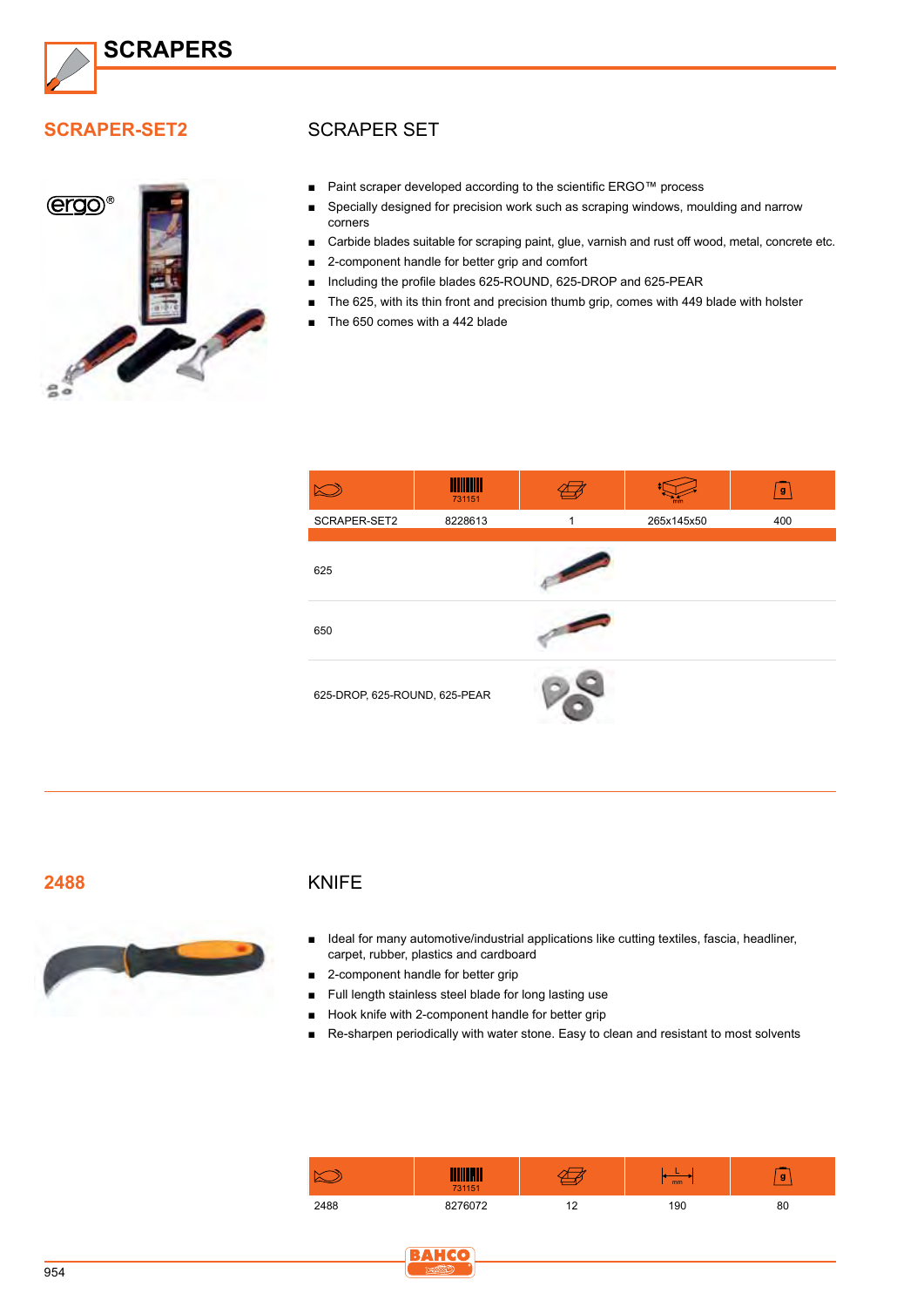

#### **SCRAPER-SET2**



#### Scraper set

- Paint scraper developed according to the scientific ERGO™ process
- Specially designed for precision work such as scraping windows, moulding and narrow corners
- Carbide blades suitable for scraping paint, glue, varnish and rust off wood, metal, concrete etc.
- 2-component handle for better grip and comfort
- Including the profile blades 625-ROUND, 625-DROP and 625-PEAR
- The 625, with its thin front and precision thumb grip, comes with 449 blade with holster
- The 650 comes with a 442 blade



**2488**



#### KNIFE

- Ideal for many automotive/industrial applications like cutting textiles, fascia, headliner, carpet, rubber, plastics and cardboard
- 2-component handle for better grip
- Full length stainless steel blade for long lasting use
- Hook knife with 2-component handle for better grip
- Re-sharpen periodically with water stone. Easy to clean and resistant to most solvents

|      | <b>THEFT 231151</b> |            | mm  | g  |
|------|---------------------|------------|-----|----|
| 2488 | 76072               | . <u>.</u> | 90، | 80 |

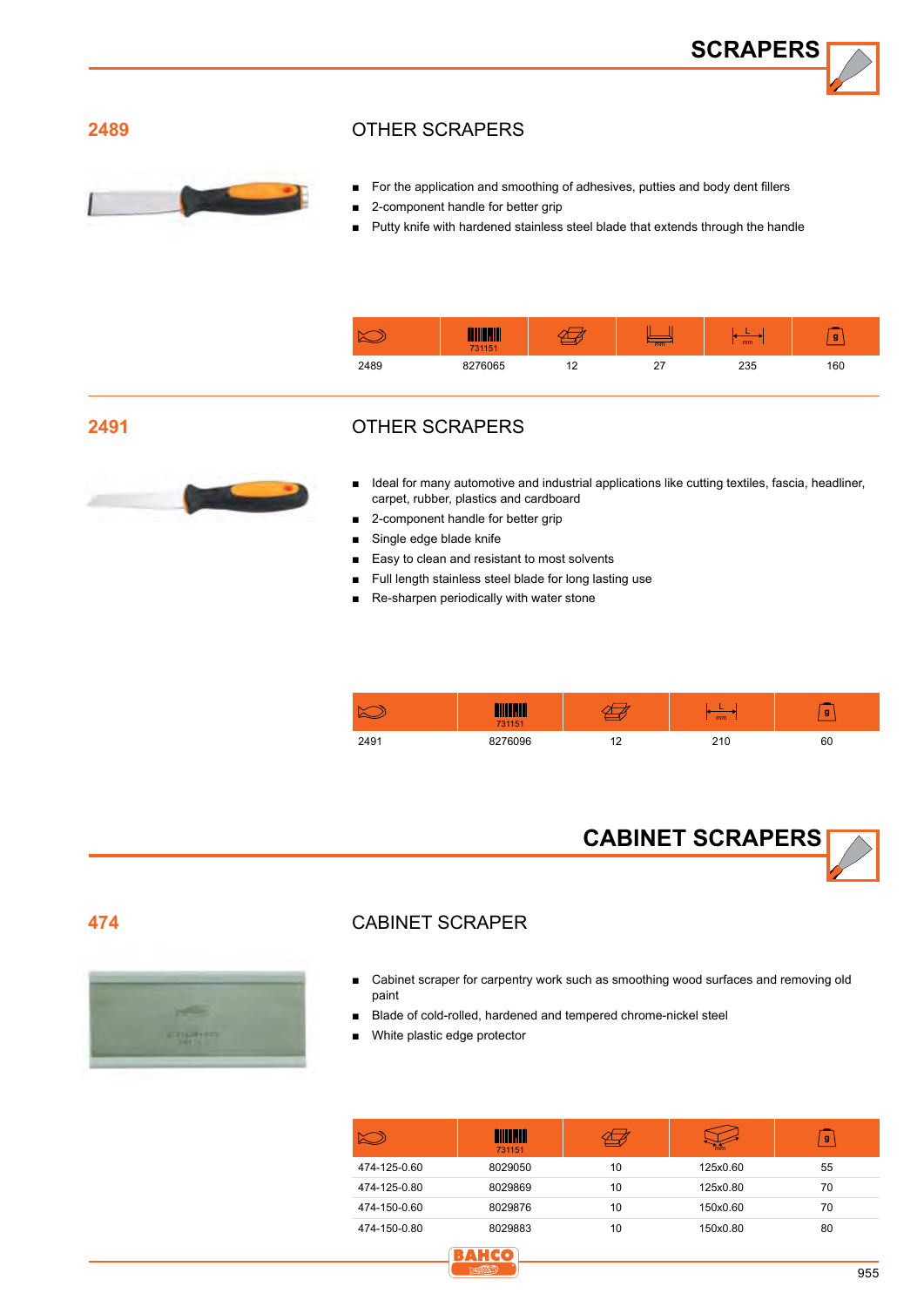**SCRAPERS**

#### **2489**



#### Other scrapers

- For the application and smoothing of adhesives, putties and body dent fillers
- 2-component handle for better grip
- Putty knife with hardened stainless steel blade that extends through the handle

|      | 731151  |                     | mm | mm  | g   |
|------|---------|---------------------|----|-----|-----|
| 2489 | 8276065 | 12<br>$\sim$<br>. – | -  | 235 | 160 |

#### **2491**



#### Other scrapers

- Ideal for many automotive and industrial applications like cutting textiles, fascia, headliner, carpet, rubber, plastics and cardboard
- 2-component handle for better grip
- Single edge blade knife
- Easy to clean and resistant to most solvents
- Full length stainless steel blade for long lasting use
- Re-sharpen periodically with water stone

|      | <b>STEP</b><br>731151 |     | <sub>mm</sub>   | g  |
|------|-----------------------|-----|-----------------|----|
| 2491 | 8276096               | $-$ | 21f<br><u>.</u> | 60 |



#### **474**



#### Cabinet scraper

- Cabinet scraper for carpentry work such as smoothing wood surfaces and removing old paint
- Blade of cold-rolled, hardened and tempered chrome-nickel steel
- White plastic edge protector

|              | HIIII HII<br>731151 |    | mm       | $\mathbf{g}$ |
|--------------|---------------------|----|----------|--------------|
| 474-125-0.60 | 8029050             | 10 | 125x0.60 | 55           |
| 474-125-0.80 | 8029869             | 10 | 125x0.80 | 70           |
| 474-150-0.60 | 8029876             | 10 | 150x0.60 | 70           |
| 474-150-0.80 | 8029883             | 10 | 150x0.80 | 80           |

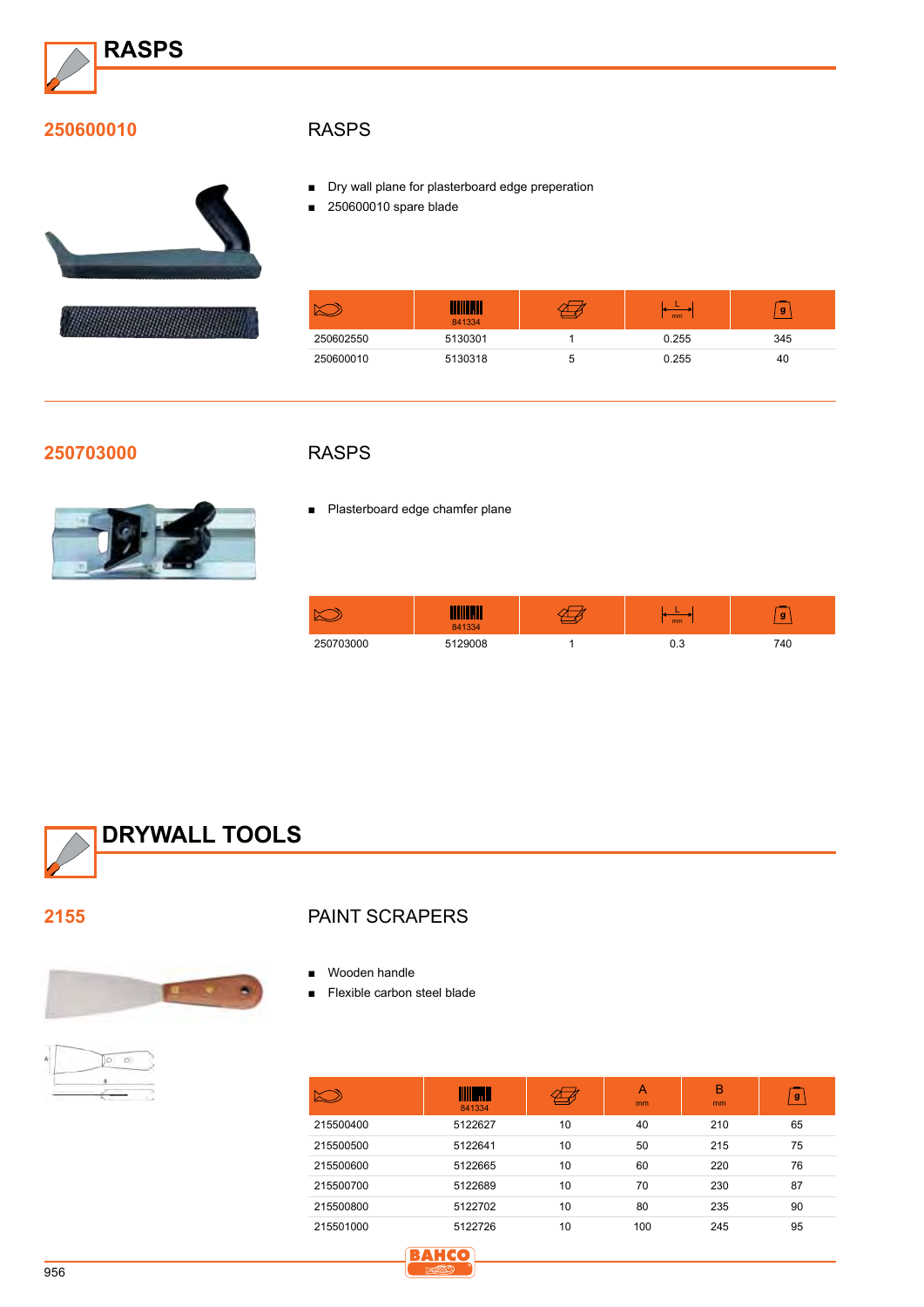

#### **250600010**





#### **RASPS**

- Dry wall plane for plasterboard edge preperation
- 250600010 spare blade

|           | <u> IIII MII</u><br>841334 | mm    | g   |
|-----------|----------------------------|-------|-----|
| 250602550 | 5130301                    | 0.255 | 345 |
| 250600010 | 5130318                    | 0.255 | 40  |

#### **250703000**



### **RASPS**

■ Plasterboard edge chamfer plane

|              | . .<br>841334 | mm  | g   |
|--------------|---------------|-----|-----|
| 70300<br>つらへ | 5129008       | ∪.∪ | '40 |



**2155**



#### Paint scrapers

- Wooden handle
- Flexible carbon steel blade

|           | <b>THE SEA</b><br>841334 |    | $\overline{A}$<br>mm | B<br>mm | g  |
|-----------|--------------------------|----|----------------------|---------|----|
| 215500400 | 5122627                  | 10 | 40                   | 210     | 65 |
| 215500500 | 5122641                  | 10 | 50                   | 215     | 75 |
| 215500600 | 5122665                  | 10 | 60                   | 220     | 76 |
| 215500700 | 5122689                  | 10 | 70                   | 230     | 87 |
| 215500800 | 5122702                  | 10 | 80                   | 235     | 90 |
| 215501000 | 5122726                  | 10 | 100                  | 245     | 95 |
|           | ------                   |    |                      |         |    |

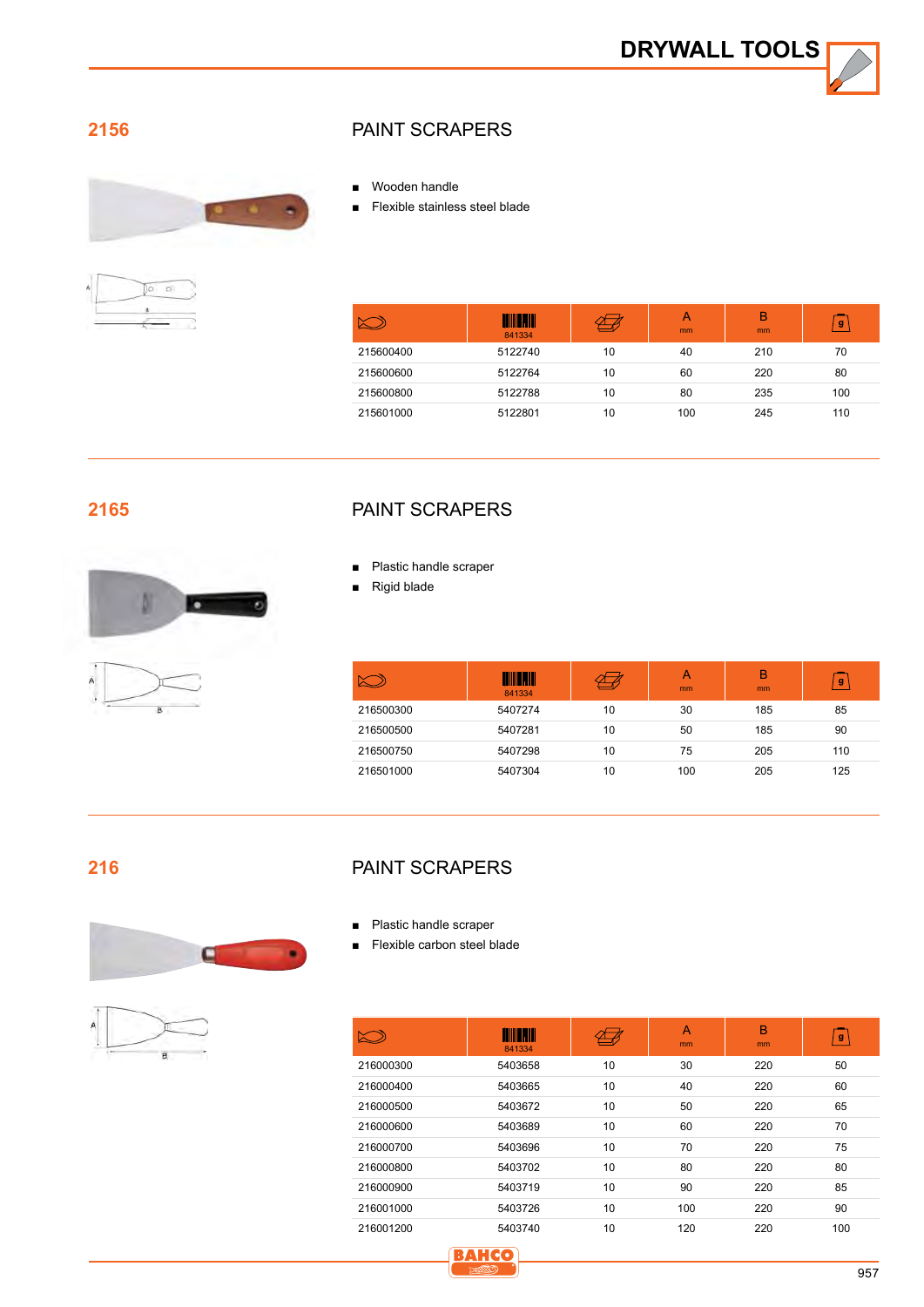#### **2156**



## )a b

#### Paint scrapers

- Wooden handle
- ■■ Flexible stainless steel blade

|           | <b>TITLE III</b><br>841334 |    | A<br>mm | B<br>mm | g   |
|-----------|----------------------------|----|---------|---------|-----|
| 215600400 | 5122740                    | 10 | 40      | 210     | 70  |
| 215600600 | 5122764                    | 10 | 60      | 220     | 80  |
| 215600800 | 5122788                    | 10 | 80      | 235     | 100 |
| 215601000 | 5122801                    | 10 | 100     | 245     | 110 |

#### **2165**



#### Paint scrapers

- Plastic handle scraper
- **Rigid blade**

|           | <b>TITLE III</b><br>841334 |    | А<br>m <sub>m</sub> | B<br>mm | g   |
|-----------|----------------------------|----|---------------------|---------|-----|
| 216500300 | 5407274                    | 10 | 30                  | 185     | 85  |
| 216500500 | 5407281                    | 10 | 50                  | 185     | 90  |
| 216500750 | 5407298                    | 10 | 75                  | 205     | 110 |
| 216501000 | 5407304                    | 10 | 100                 | 205     | 125 |

#### **216**





#### Paint scrapers

- Plastic handle scraper
- Flexible carbon steel blade

| ╳┈        | <b>THULL</b><br>841334 |    | A<br>mm | в<br>mm | g   |
|-----------|------------------------|----|---------|---------|-----|
| 216000300 | 5403658                | 10 | 30      | 220     | 50  |
| 216000400 | 5403665                | 10 | 40      | 220     | 60  |
| 216000500 | 5403672                | 10 | 50      | 220     | 65  |
| 216000600 | 5403689                | 10 | 60      | 220     | 70  |
| 216000700 | 5403696                | 10 | 70      | 220     | 75  |
| 216000800 | 5403702                | 10 | 80      | 220     | 80  |
| 216000900 | 5403719                | 10 | 90      | 220     | 85  |
| 216001000 | 5403726                | 10 | 100     | 220     | 90  |
| 216001200 | 5403740                | 10 | 120     | 220     | 100 |

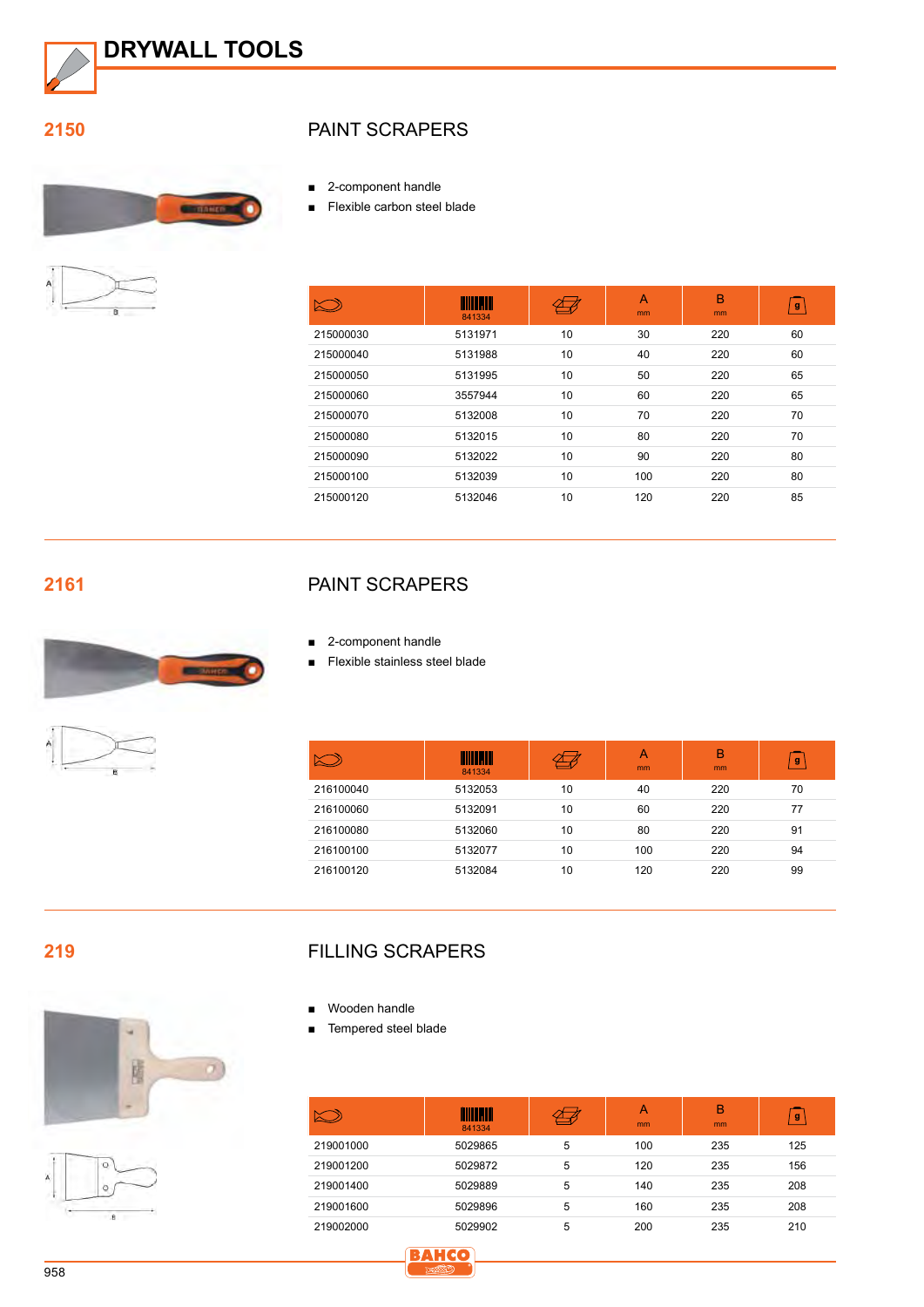

**2150**





#### Paint scrapers

■ 2-component handle

■ Flexible carbon steel blade

|           | <u> IIIII Maill</u><br>841334 |    | A<br>mm | B<br>mm | $\mathbf{g}$ |
|-----------|-------------------------------|----|---------|---------|--------------|
| 215000030 | 5131971                       | 10 | 30      | 220     | 60           |
| 215000040 | 5131988                       | 10 | 40      | 220     | 60           |
| 215000050 | 5131995                       | 10 | 50      | 220     | 65           |
| 215000060 | 3557944                       | 10 | 60      | 220     | 65           |
| 215000070 | 5132008                       | 10 | 70      | 220     | 70           |
| 215000080 | 5132015                       | 10 | 80      | 220     | 70           |
| 215000090 | 5132022                       | 10 | 90      | 220     | 80           |
| 215000100 | 5132039                       | 10 | 100     | 220     | 80           |
| 215000120 | 5132046                       | 10 | 120     | 220     | 85           |

**2161**





#### Paint scrapers

- 2-component handle
- ■■ Flexible stainless steel blade

|           | <b>TIITIKA III</b><br>841334 |    | A<br>mm | B<br>mm | $\mathbf{g}$ |
|-----------|------------------------------|----|---------|---------|--------------|
| 216100040 | 5132053                      | 10 | 40      | 220     | 70           |
| 216100060 | 5132091                      | 10 | 60      | 220     | 77           |
| 216100080 | 5132060                      | 10 | 80      | 220     | 91           |
| 216100100 | 5132077                      | 10 | 100     | 220     | 94           |
| 216100120 | 5132084                      | 10 | 120     | 220     | 99           |

**219**





#### Filling scrapers

- Wooden handle
- Tempered steel blade

|           | <b>TENTIFANI</b><br>841334 |   | Α<br><sub>mm</sub> | B<br>mm | g   |
|-----------|----------------------------|---|--------------------|---------|-----|
| 219001000 | 5029865                    | 5 | 100                | 235     | 125 |
| 219001200 | 5029872                    | 5 | 120                | 235     | 156 |
| 219001400 | 5029889                    | 5 | 140                | 235     | 208 |
| 219001600 | 5029896                    | 5 | 160                | 235     | 208 |
| 219002000 | 5029902                    | 5 | 200                | 235     | 210 |

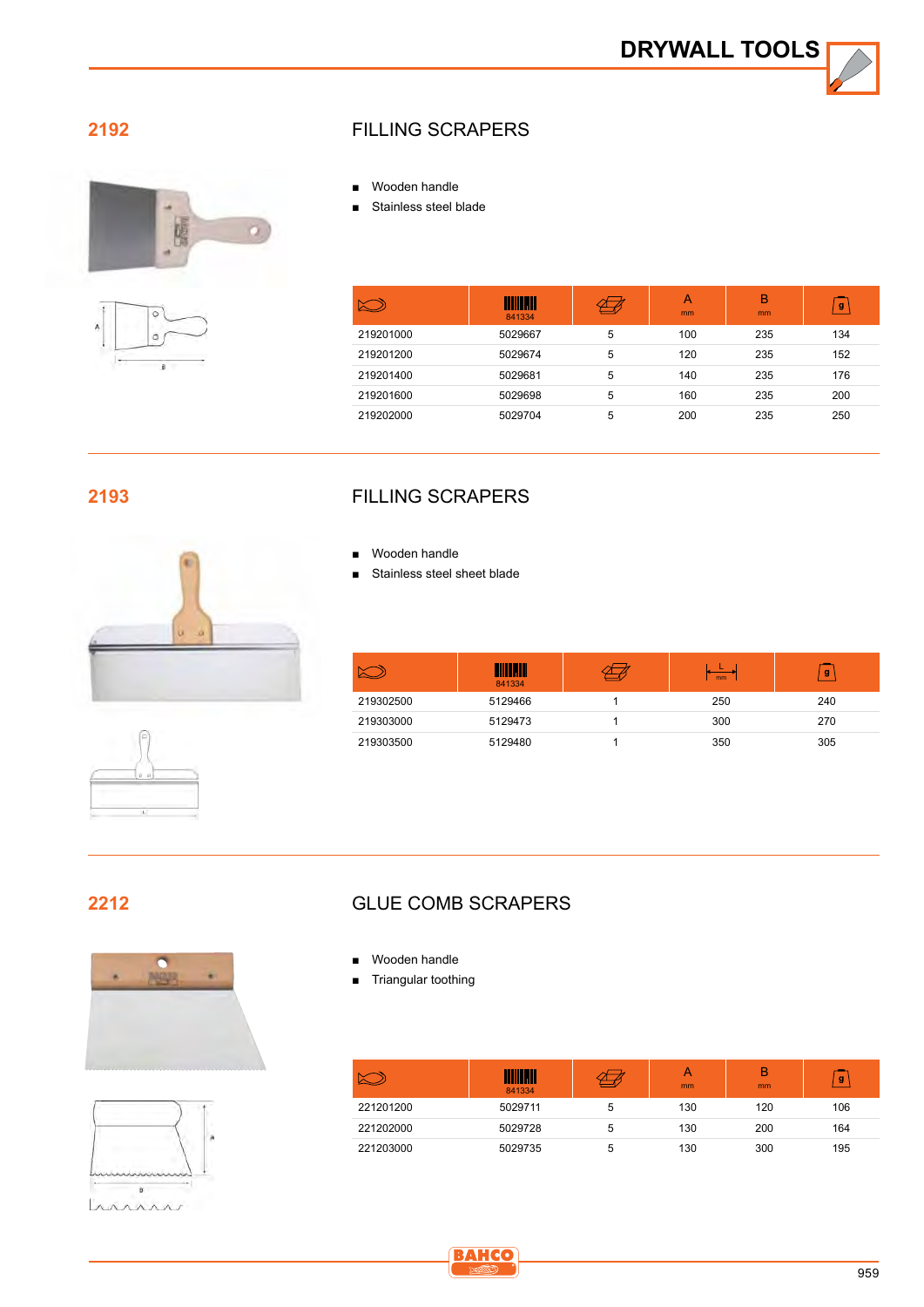#### **2192**



B

#### Filling scrapers

- Wooden handle
- Stainless steel blade

|           | <b>TIILLE</b><br>841334 |   | A<br>mm | в<br>m <sub>m</sub> | g   |
|-----------|-------------------------|---|---------|---------------------|-----|
| 219201000 | 5029667                 | 5 | 100     | 235                 | 134 |
| 219201200 | 5029674                 | 5 | 120     | 235                 | 152 |
| 219201400 | 5029681                 | 5 | 140     | 235                 | 176 |
| 219201600 | 5029698                 | 5 | 160     | 235                 | 200 |
| 219202000 | 5029704                 | 5 | 200     | 235                 | 250 |

#### **2193**





### Filling scrapers

- Wooden handle
- Stainless steel sheet blade

|           | .III<br>841334 | mm  | g   |
|-----------|----------------|-----|-----|
| 219302500 | 5129466        | 250 | 240 |
| 219303000 | 5129473        | 300 | 270 |
| 219303500 | 5129480        | 350 | 305 |

#### **2212**





#### Glue comb scrapers

- Wooden handle
- Triangular toothing

|           | 841334  |   | А<br><sub>mm</sub> | B<br><sub>mm</sub> | g   |
|-----------|---------|---|--------------------|--------------------|-----|
| 221201200 | 5029711 | 5 | 130                | 120                | 106 |
| 221202000 | 5029728 | 5 | 130                | 200                | 164 |
| 221203000 | 5029735 | b | 130                | 300                | 195 |

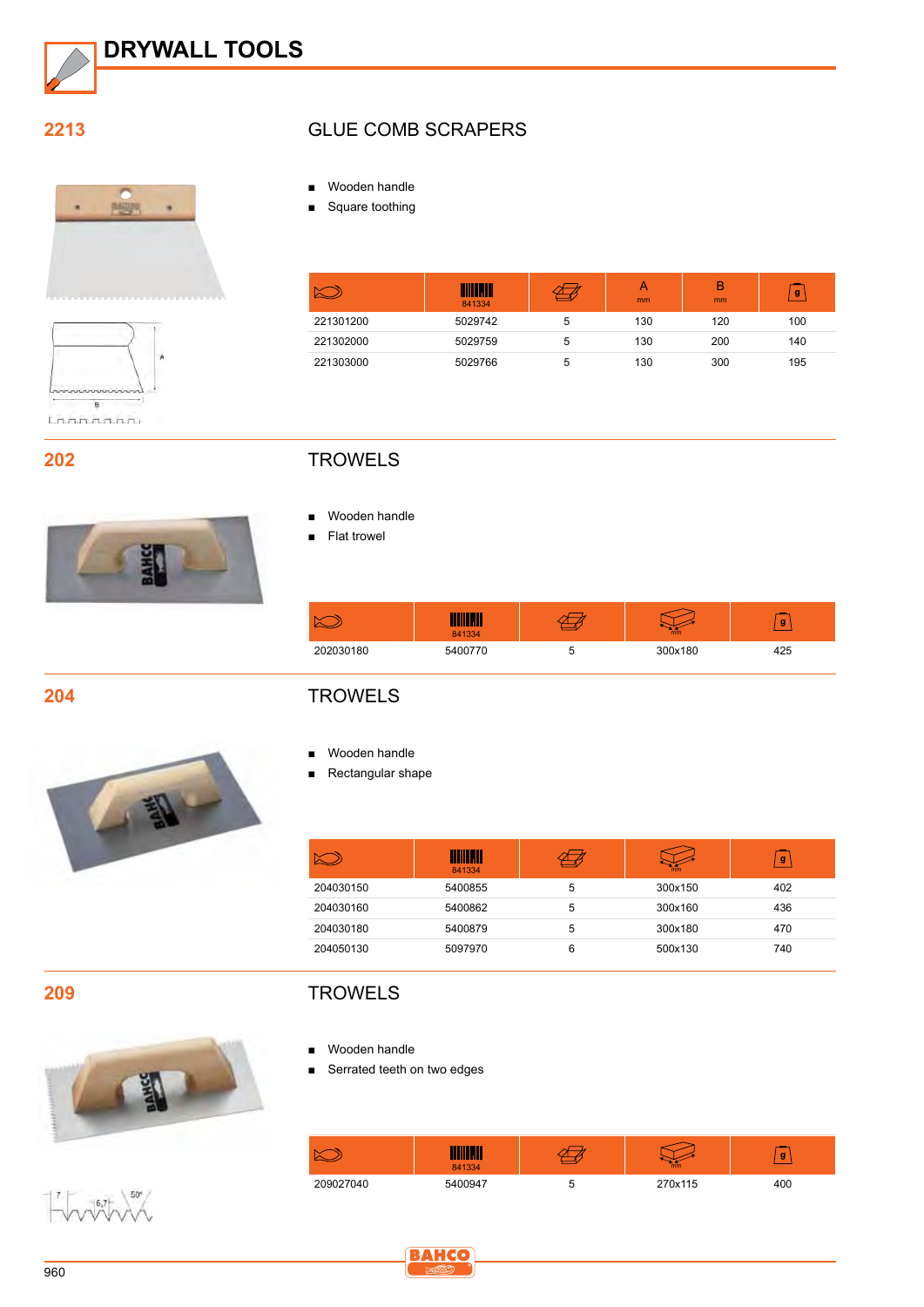

#### **2213**





#### **202**



#### Glue comb scrapers

- Wooden handle
- Square toothing

|           | M<br>841334 |   | mm  | B<br><sub>mm</sub> | g   |
|-----------|-------------|---|-----|--------------------|-----|
| 221301200 | 5029742     | 5 | 130 | 120                | 100 |
| 221302000 | 5029759     | 5 | 130 | 200                | 140 |
| 221303000 | 5029766     | 5 | 130 | 300                | 195 |

#### **TROWELS**

- Wooden handle
- Flat trowel

|           | 841334  | mm      | g   |
|-----------|---------|---------|-----|
| 202030180 | 5400770 | 300x180 | 425 |

**204**



#### **TROWELS**

- Wooden handle
- Rectangular shape

|           | nall II<br>W<br>841334 |   | mm      | g   |
|-----------|------------------------|---|---------|-----|
| 204030150 | 5400855                | 5 | 300x150 | 402 |
| 204030160 | 5400862                | 5 | 300x160 | 436 |
| 204030180 | 5400879                | 5 | 300x180 | 470 |
| 204050130 | 5097970                | 6 | 500x130 | 740 |

**209**



 $-7$  5.7 50°

#### **TROWELS**

- Wooden handle
- Serrated teeth on two edges

|           | 841334  | mm      | g   |
|-----------|---------|---------|-----|
| 209027040 | 5400947 | 270x115 | 400 |

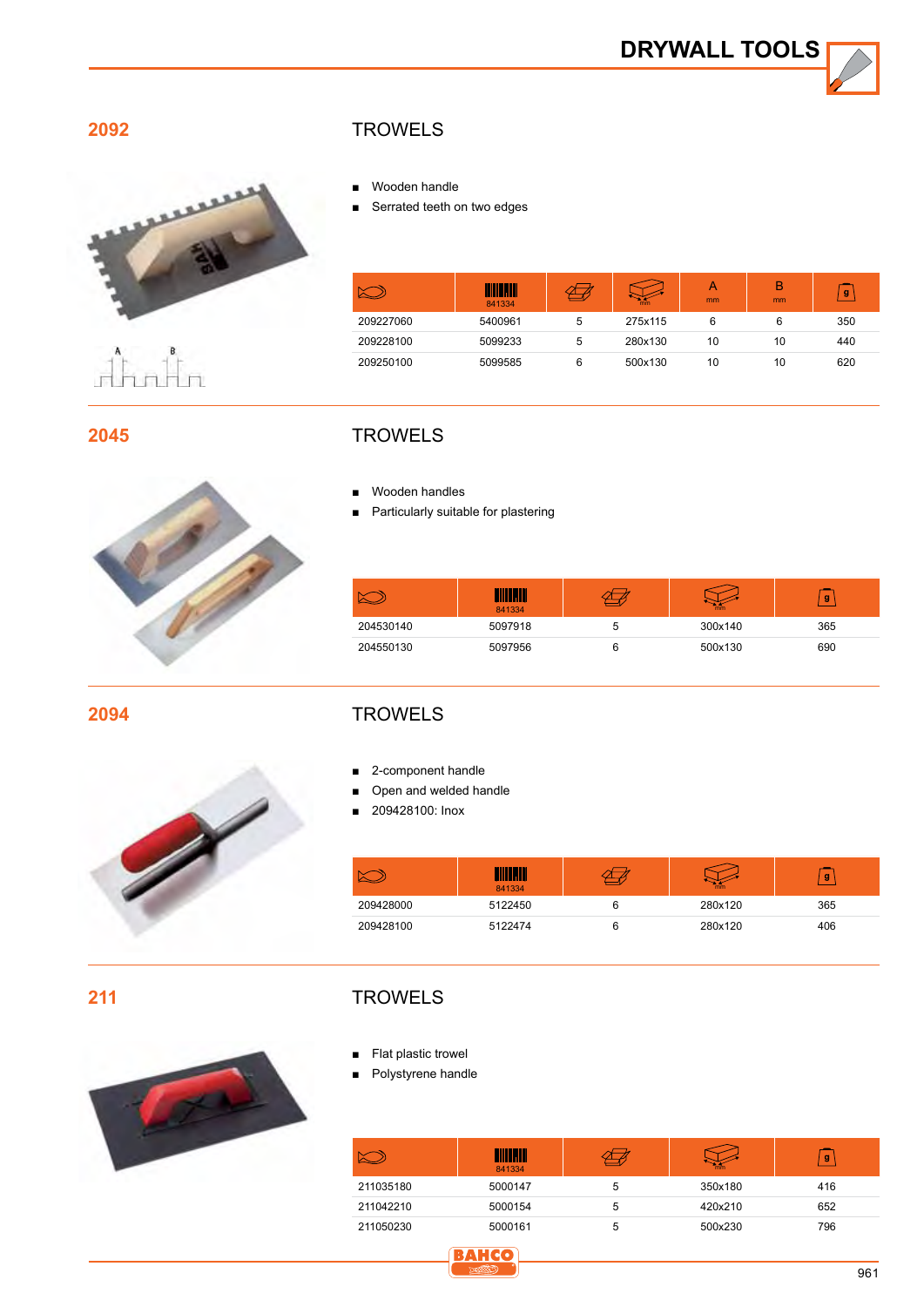

**2092**



 $\mathring{\prod}_{n=1}^{\infty}$ 

#### **TROWELS**

- Wooden handle
- Serrated teeth on two edges

|           | <b>THE REAL</b><br>841334 |   | mm      | А<br>mm | B<br>mm | g   |
|-----------|---------------------------|---|---------|---------|---------|-----|
| 209227060 | 5400961                   | 5 | 275x115 | 6       | 6       | 350 |
| 209228100 | 5099233                   | 5 | 280x130 | 10      | 10      | 440 |
| 209250100 | 5099585                   | 6 | 500x130 | 10      | 10      | 620 |

**2045**



#### **TROWELS**

- Wooden handles
- Particularly suitable for plastering

| Ñ<br>◚    | 841334  | mm      | g   |
|-----------|---------|---------|-----|
| 204530140 | 5097918 | 300x140 | 365 |
| 204550130 | 5097956 | 500x130 | 690 |

**2094**



#### **TROWELS**

- 2-component handle
- Open and welded handle
- ■■ 209428100: Inox

|           | 841334  | mm      | g   |
|-----------|---------|---------|-----|
| 209428000 | 5122450 | 280x120 | 365 |
| 209428100 | 5122474 | 280x120 | 406 |

**211**

#### **TROWELS**

- Flat plastic trowel
- Polystyrene handle

|           | $\overline{\phantom{a}}$<br>IIIIII<br>841334 |   | mm      | g   |
|-----------|----------------------------------------------|---|---------|-----|
| 211035180 | 5000147                                      | 5 | 350x180 | 416 |
| 211042210 | 5000154                                      | 5 | 420x210 | 652 |
| 211050230 | 5000161                                      | 5 | 500x230 | 796 |

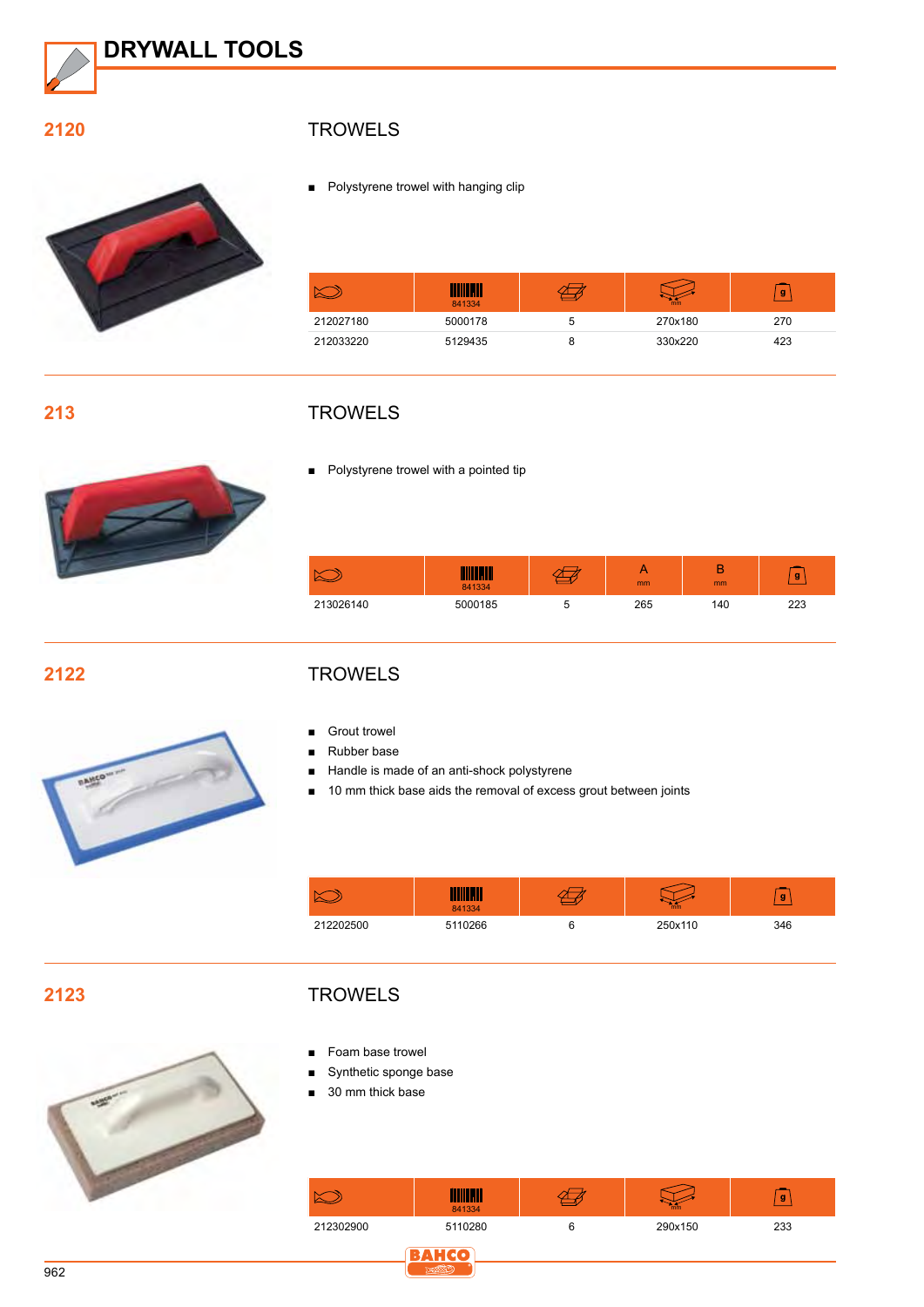

#### **2120**



#### **TROWELS**

■ Polystyrene trowel with hanging clip

|           | 11<br>841334 |   | mm      | g   |
|-----------|--------------|---|---------|-----|
| 212027180 | 5000178      | 5 | 270x180 | 270 |
| 212033220 | 5129435      |   | 330x220 | 423 |

#### **213**



#### **TROWELS**

■ Polystyrene trowel with a pointed tip

|           | <u>Alimi IV</u><br>841334 | <sub>mm</sub> | mm  | g   |
|-----------|---------------------------|---------------|-----|-----|
| 213026140 | 5000185                   | 265           | 140 | מממ |

#### **2122**



#### **TROWELS**

- **Grout trowel**
- ■■ Rubber base
- Handle is made of an anti-shock polystyrene

**TITULERIN** 

■ 10 mm thick base aids the removal of excess grout between joints

**2123**

#### **TROWELS**

 $\bigotimes$ 

- Foam base trowel
- Synthetic sponge base
- 30 mm thick base



841334 **mm** 212202500 5110266 6 250x110 346

 $\overleftrightarrow{C}$ 

 $\sqrt{g}$ 

 $\bigtriangledown$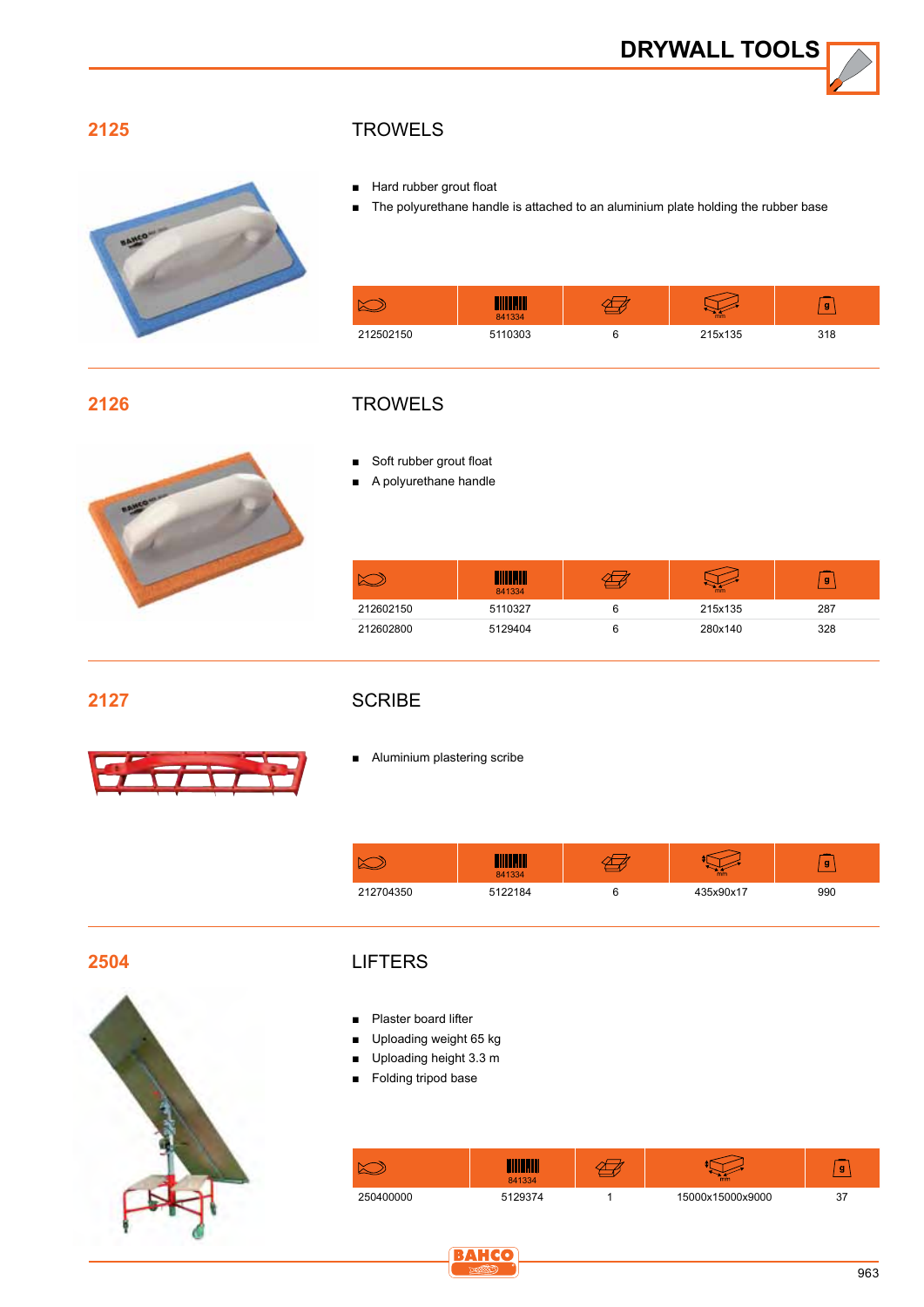

#### **2125**



#### **TROWELS**

- Hard rubber grout float
- The polyurethane handle is attached to an aluminium plate holding the rubber base

|           | 841334  | mm      | g   |
|-----------|---------|---------|-----|
| 212502150 | 5110303 | 215x135 | 318 |

#### **2126**



Soft rubber grout float ■ A polyurethane handle



|           | 841334  | mm      | g   |
|-----------|---------|---------|-----|
| 212602150 | 5110327 | 215x135 | 287 |
| 212602800 | 5129404 | 280x140 | 328 |

**2127**

#### **SCRIBE**

 $\overline{\phantom{a}}$ **Property** 

■ Aluminium plastering scribe

|           | 841334  | mm        | g   |
|-----------|---------|-----------|-----|
| 212704350 | 5122184 | 435x90x17 | 990 |

**2504**



#### **LIFTERS**

- Plaster board lifter
- Uploading weight 65 kg
- Uploading height 3.3 m
- Folding tripod base

|           | <b>THE IT</b><br>841334 | mm               | g  |
|-----------|-------------------------|------------------|----|
| 250400000 | 5129374                 | 15000x15000x9000 | 37 |

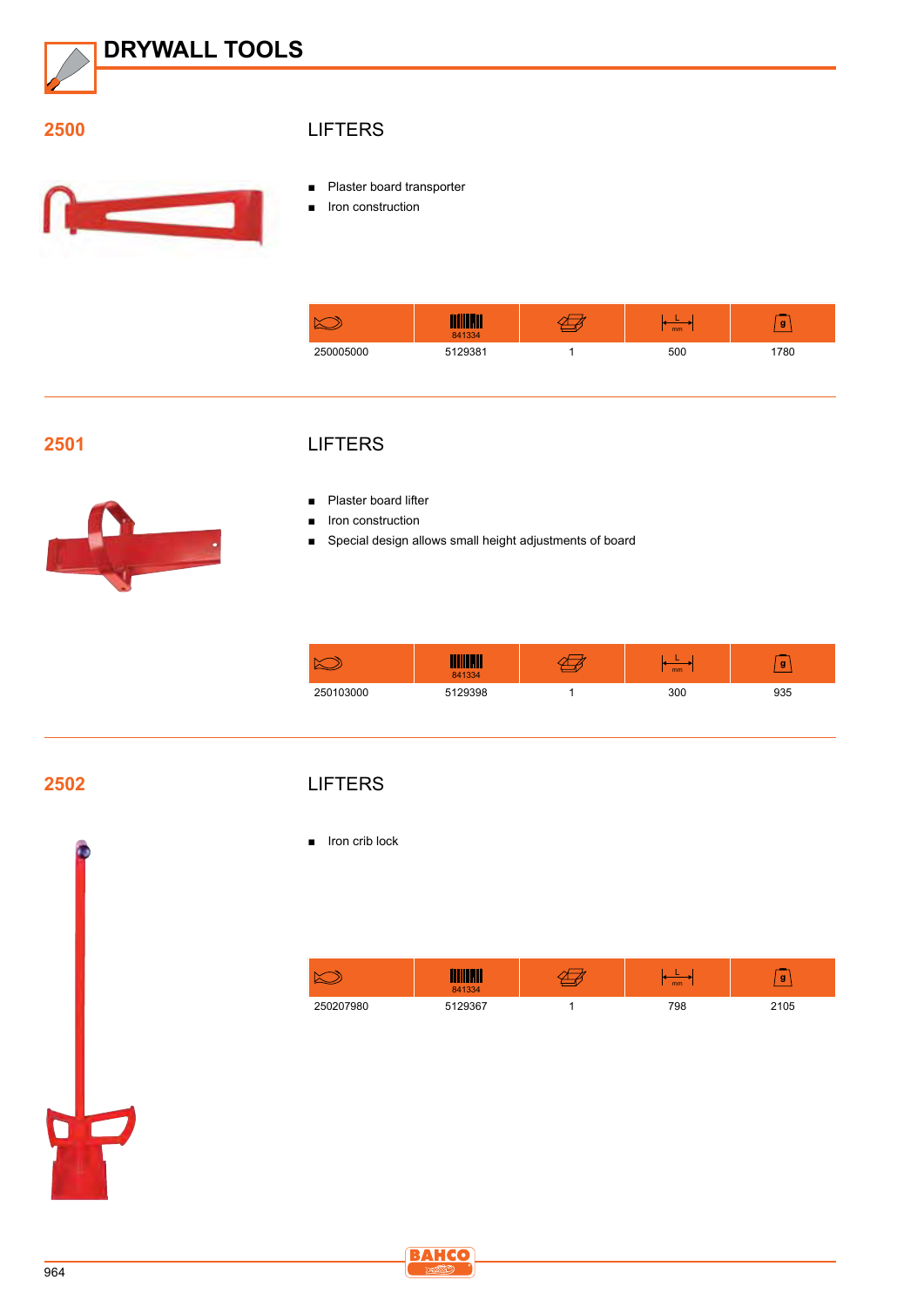

#### **2500**



#### **LIFTERS**

- Plaster board transporter
- Iron construction

|           | mm<br>841334 | mm  | g    |
|-----------|--------------|-----|------|
| 250005000 | 5129381      | 500 | 1780 |

#### **2501**



#### **LIFTERS**

- Plaster board lifter
- Iron construction
- Special design allows small height adjustments of board

|           | <u> Allianii / </u><br>841334 | mm  | g   |
|-----------|-------------------------------|-----|-----|
| 250103000 | 5129398                       | 300 | 935 |

**2502**

#### **LIFTERS**

■ Iron crib lock

| N         | 841334  | m <sub>m</sub> | g    |
|-----------|---------|----------------|------|
| 250207980 | 5129367 | 798            | 2105 |



 $\overline{\mathbf{C}}$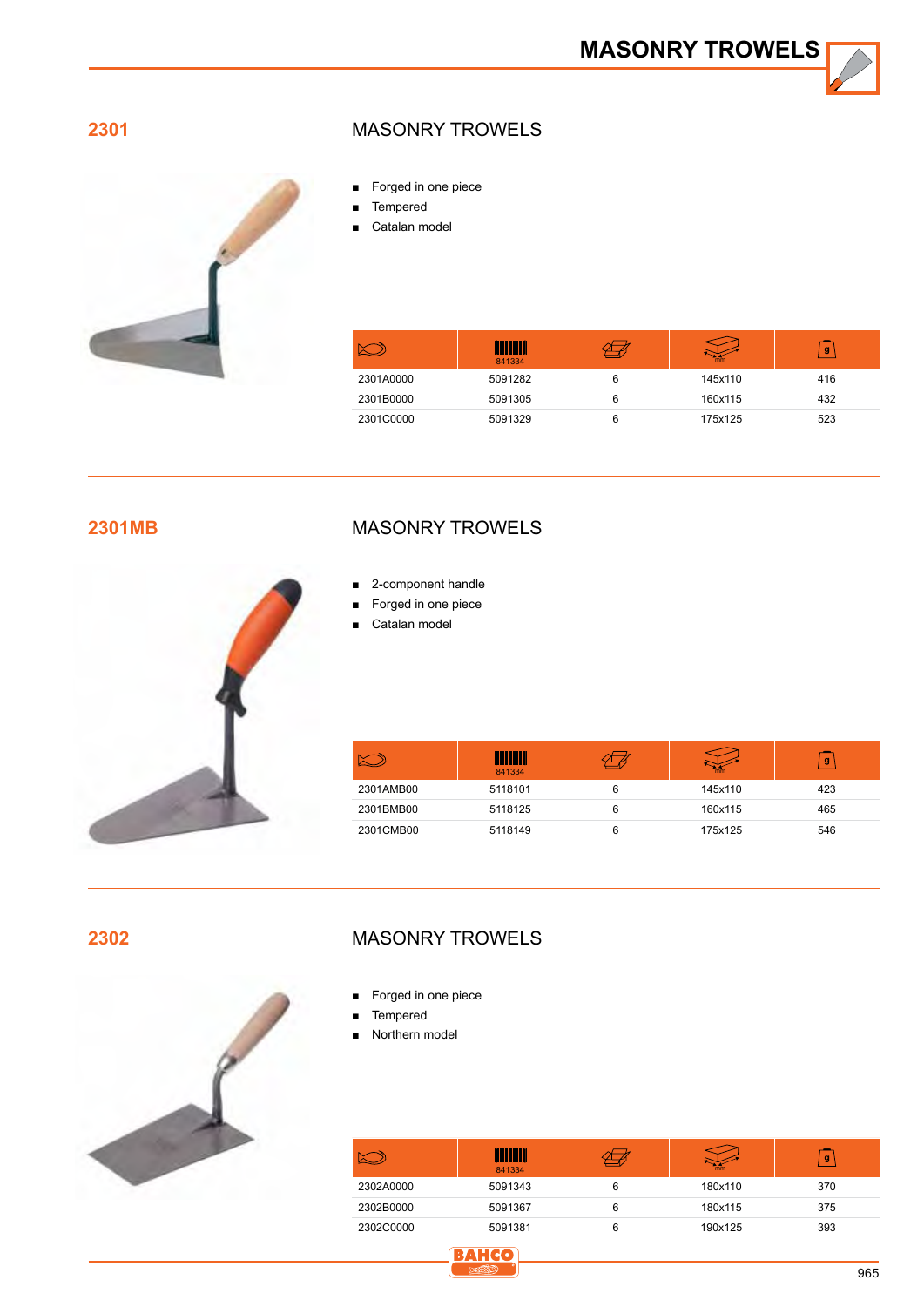**2301**



#### Masonry trowels

- Forged in one piece
- **Tempered**
- Catalan model

|           | .III<br>841334 | mm      | g   |
|-----------|----------------|---------|-----|
| 2301A0000 | 5091282        | 145x110 | 416 |
| 2301B0000 | 5091305        | 160x115 | 432 |
| 2301C0000 | 5091329        | 175x125 | 523 |

#### **2301MB**



### Masonry trowels

- 2-component handle
- Forged in one piece
- Catalan model

|           | W<br>841334 | mm      | g   |
|-----------|-------------|---------|-----|
| 2301AMB00 | 5118101     | 145x110 | 423 |
| 2301BMB00 | 5118125     | 160x115 | 465 |
| 2301CMB00 | 5118149     | 175x125 | 546 |

**2302**



#### Masonry trowels

- Forged in one piece
- **Tempered**
- Northern model

|           | 841334  |   | mm      | g   |
|-----------|---------|---|---------|-----|
| 2302A0000 | 5091343 | 6 | 180x110 | 370 |
| 2302B0000 | 5091367 | 6 | 180x115 | 375 |
| 2302C0000 | 5091381 | 6 | 190x125 | 393 |

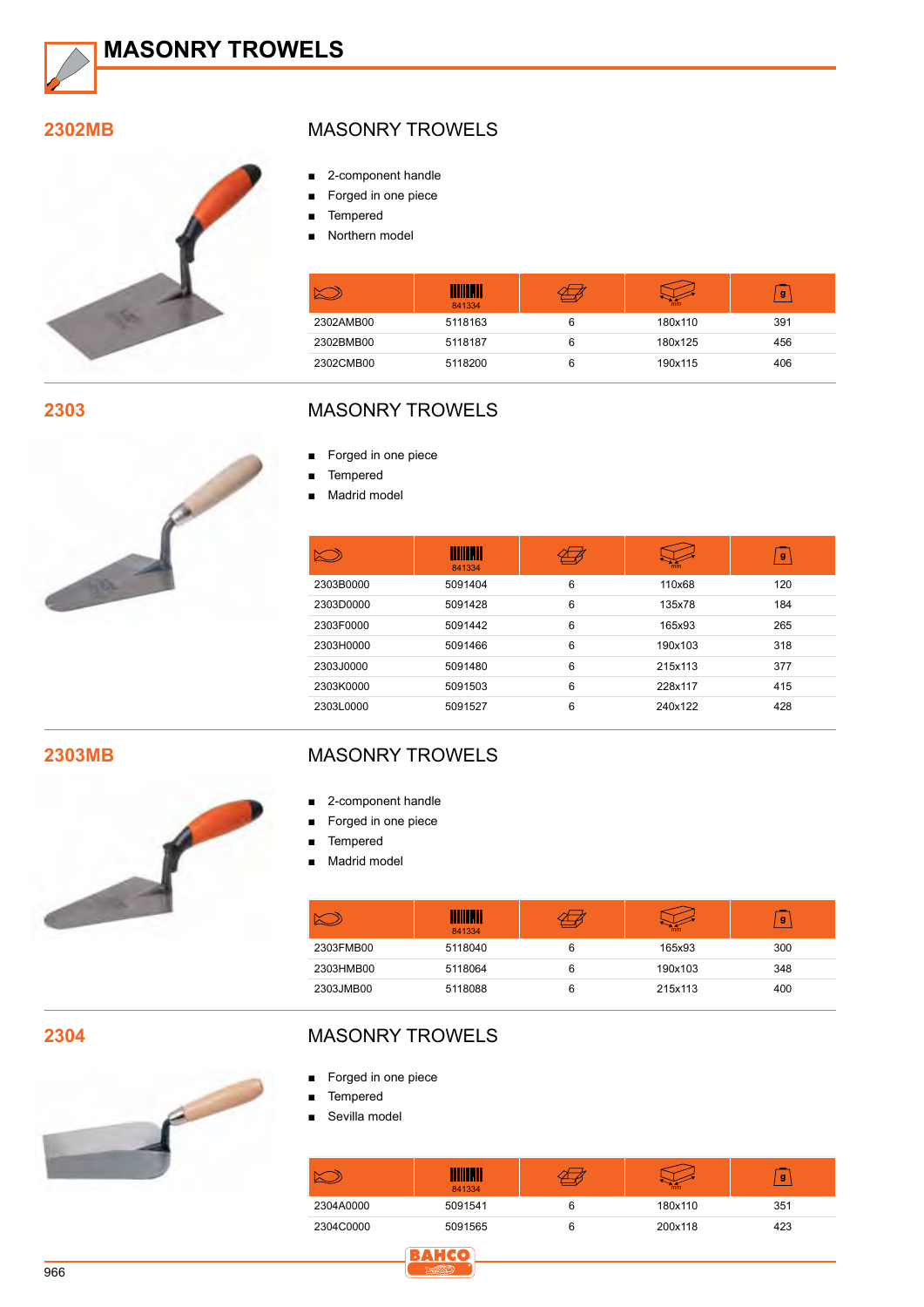

#### **2302MB**



**2303**



#### Masonry trowels

- 2-component handle
- Forged in one piece
- Tempered
- Northern model

|           | <b>TIIIII</b> M<br>841334 | mm      | g   |
|-----------|---------------------------|---------|-----|
| 2302AMB00 | 5118163                   | 180x110 | 391 |
| 2302BMB00 | 5118187                   | 180x125 | 456 |
| 2302CMB00 | 5118200                   | 190x115 | 406 |

#### Masonry trowels

- Forged in one piece
- Tempered
- Madrid model

|           | <u>Hilli Mill</u><br>841334 |   | mm      | g   |
|-----------|-----------------------------|---|---------|-----|
| 2303B0000 | 5091404                     | 6 | 110x68  | 120 |
| 2303D0000 | 5091428                     | 6 | 135x78  | 184 |
| 2303F0000 | 5091442                     | 6 | 165x93  | 265 |
| 2303H0000 | 5091466                     | 6 | 190x103 | 318 |
| 2303J0000 | 5091480                     | 6 | 215x113 | 377 |
| 2303K0000 | 5091503                     | 6 | 228x117 | 415 |
| 2303L0000 | 5091527                     | 6 | 240x122 | 428 |

**2303MB**



#### Masonry trowels

- 2-component handle
- Forged in one piece
- Tempered
- Madrid model

|           | <u> Hillian II</u><br>841334 |   | mm      | g   |
|-----------|------------------------------|---|---------|-----|
| 2303FMB00 | 5118040                      | 6 | 165x93  | 300 |
| 2303HMB00 | 5118064                      | 6 | 190x103 | 348 |
| 2303JMB00 | 5118088                      |   | 215x113 | 400 |

**2304**



#### Masonry trowels

- Forged in one piece
- Tempered
- Sevilla model

|           | <u>AMI</u> V<br>841334 | mm      | g   |
|-----------|------------------------|---------|-----|
| 2304A0000 | 5091541                | 180x110 | 351 |
| 2304C0000 | 5091565                | 200x118 | 423 |

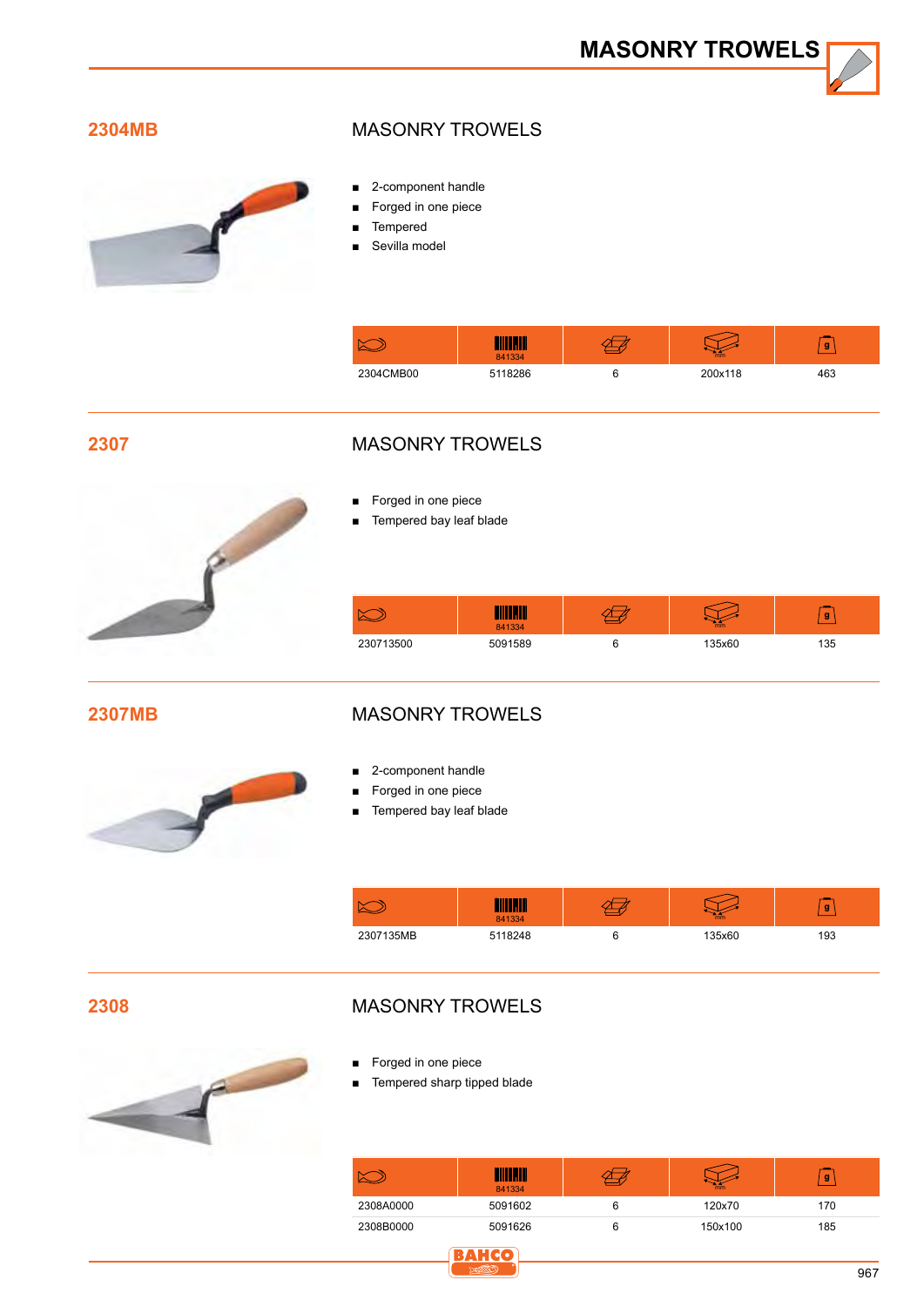#### **2304MB**



#### Masonry trowels

- 2-component handle
- Forged in one piece
- **Tempered**
- Sevilla model

| N         | 841334    | m <sub>m</sub> | g   |
|-----------|-----------|----------------|-----|
| 2304CMB00 | $-118286$ | 200x118        | 463 |

**2307**



#### Masonry trowels

- Forged in one piece
- Tempered bay leaf blade

| $\sim$<br>⊵ | 841334  | mm     | g |
|-------------|---------|--------|---|
| 230713500   | 5091589 | 125x60 |   |

**2307MB**

#### Masonry trowels



- 2-component handle
- Forged in one piece
- Tempered bay leaf blade

|           | 841334  | mm     | g   |
|-----------|---------|--------|-----|
| 2307135MB | 5118248 | 135x60 | 193 |

**2308**

#### Masonry trowels



- Forged in one piece
- Tempered sharp tipped blade

**BAHCO** 

|           | WINDOW<br>841334 | mm      | g   |
|-----------|------------------|---------|-----|
| 2308A0000 | 5091602          | 120x70  | 170 |
| 2308B0000 | 5091626          | 150x100 | 185 |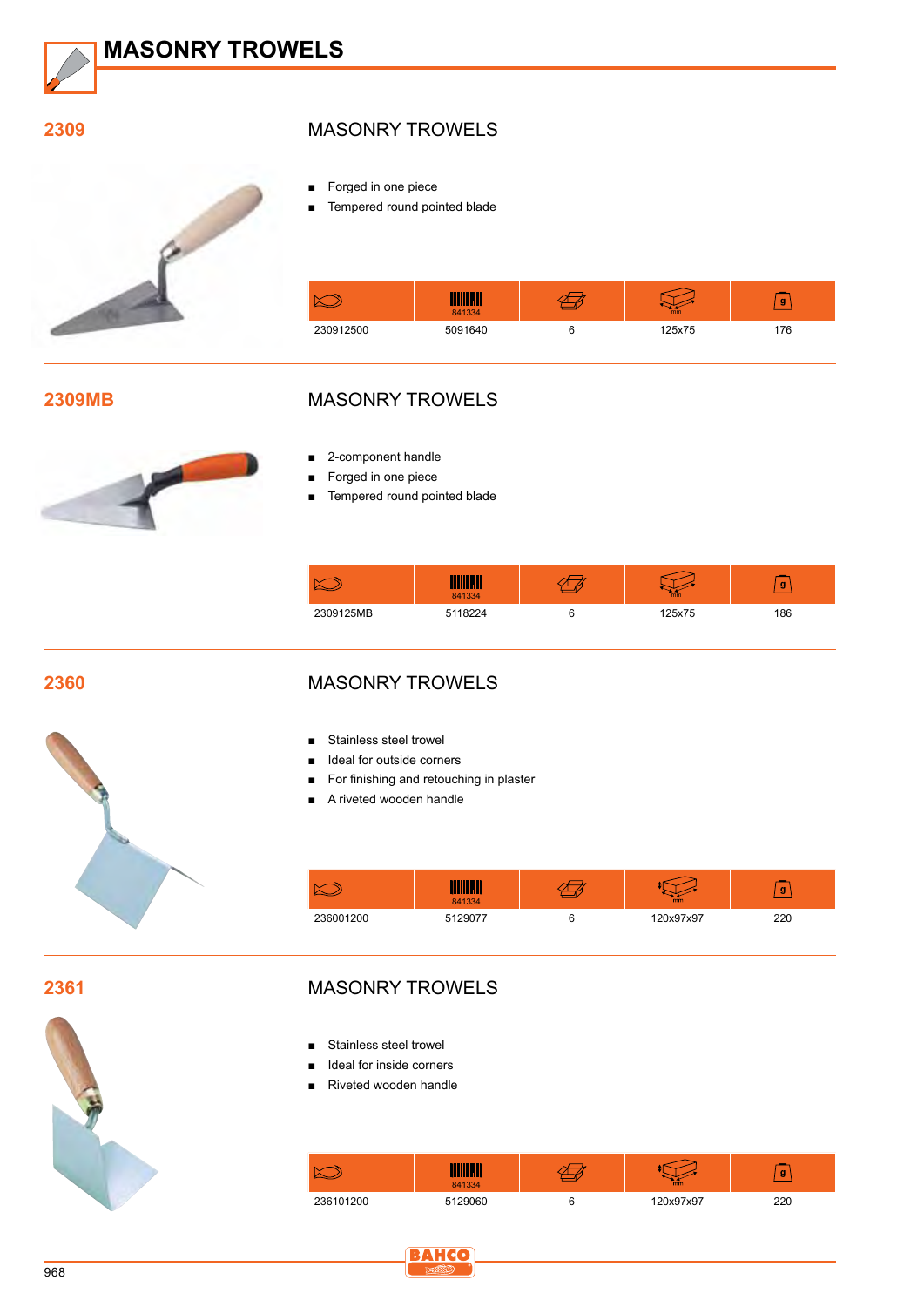

#### **2309**



#### Masonry trowels

■ Forged in one piece

■ Tempered round pointed blade

|           | <u> Littlik roll l</u><br>841334 | m <sub>m</sub> | g   |
|-----------|----------------------------------|----------------|-----|
| 230912500 | 5091640                          | 125x75         | 176 |

#### **2309MB**



#### Masonry trowels

- 2-component handle
- Forged in one piece
- Tempered round pointed blade

|           | 341334 | mm    | g  |
|-----------|--------|-------|----|
| 2309125MB |        | 25x75 | 86 |

#### **2360**



#### Masonry trowels

- Stainless steel trowel
- Ideal for outside corners
- For finishing and retouching in plaster
- A riveted wooden handle

|           | 841334  | mm        | g   |
|-----------|---------|-----------|-----|
| 236001200 | 5129077 | 120x97x97 | 220 |

**2361**



#### Masonry trowels

- Stainless steel trowel
- Ideal for inside corners
- Riveted wooden handle

|           | 841334  | mm        | g   |
|-----------|---------|-----------|-----|
| 236101200 | 5129060 | 120x97x97 | 220 |

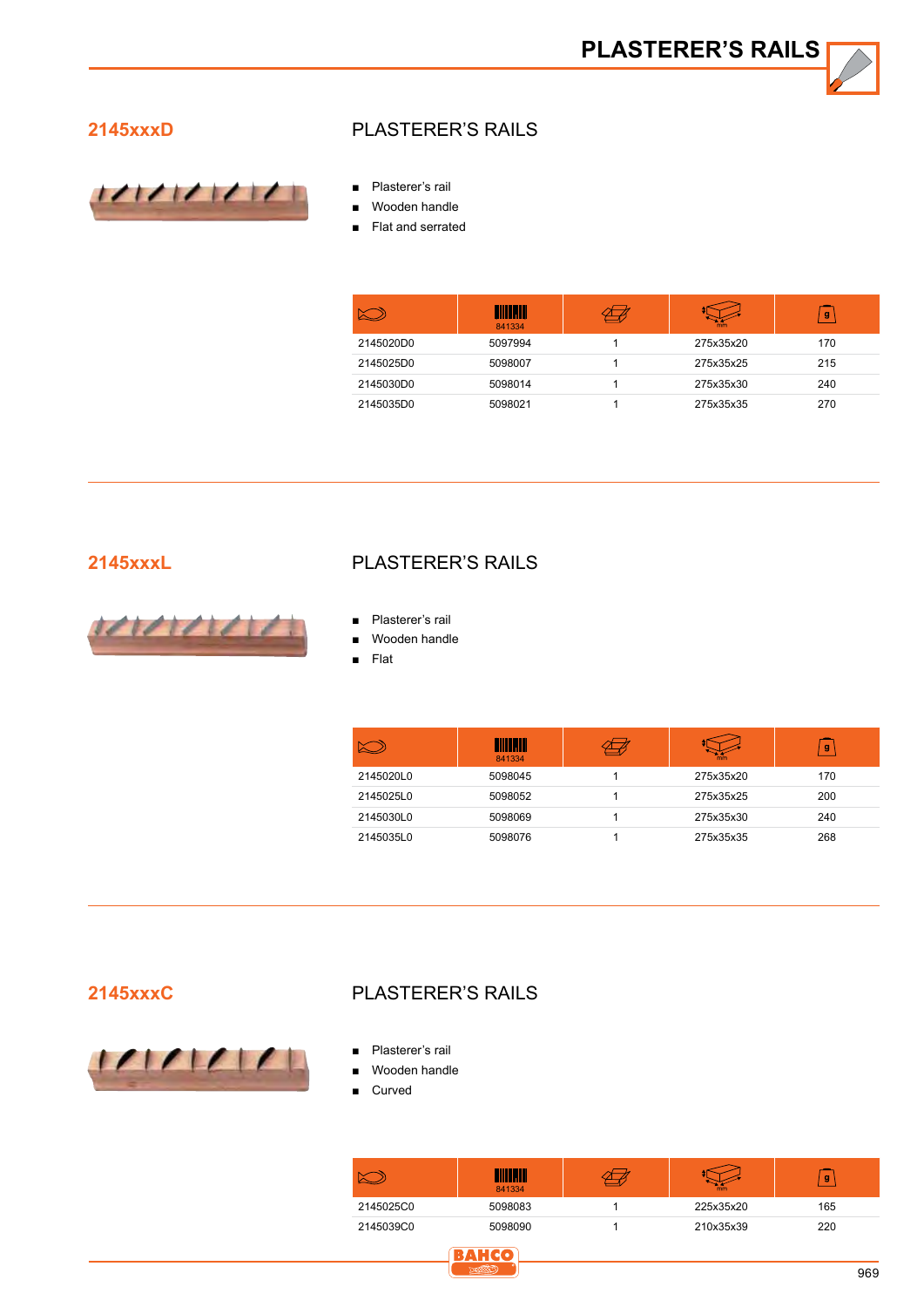**PLASTERER'S RAILS**

#### **2145xxxD**



#### Plasterer's rails

- Plasterer's rail
- Wooden handle
- Flat and serrated

|           | <u>- III</u><br>841334 | mm        | g   |
|-----------|------------------------|-----------|-----|
| 2145020D0 | 5097994                | 275x35x20 | 170 |
| 2145025D0 | 5098007                | 275x35x25 | 215 |
| 2145030D0 | 5098014                | 275x35x30 | 240 |
| 2145035D0 | 5098021                | 275x35x35 | 270 |

#### **2145xxxL**



#### Plasterer's rails

- Plasterer's rail
- Wooden handle
- ■■ Flat

|           | 841334  | mm        | $\mathbf{g}$ |
|-----------|---------|-----------|--------------|
| 2145020L0 | 5098045 | 275x35x20 | 170          |
| 2145025L0 | 5098052 | 275x35x25 | 200          |
| 2145030L0 | 5098069 | 275x35x30 | 240          |
| 2145035L0 | 5098076 | 275x35x35 | 268          |

#### **2145xxxC**



#### Plasterer's rails

**BAHCG** 

- Plasterer's rail
- Wooden handle
- **Curved**

|           | H<br>841334 | mm        | g   |
|-----------|-------------|-----------|-----|
| 2145025C0 | 5098083     | 225x35x20 | 165 |
| 2145039C0 | 5098090     | 210x35x39 | 220 |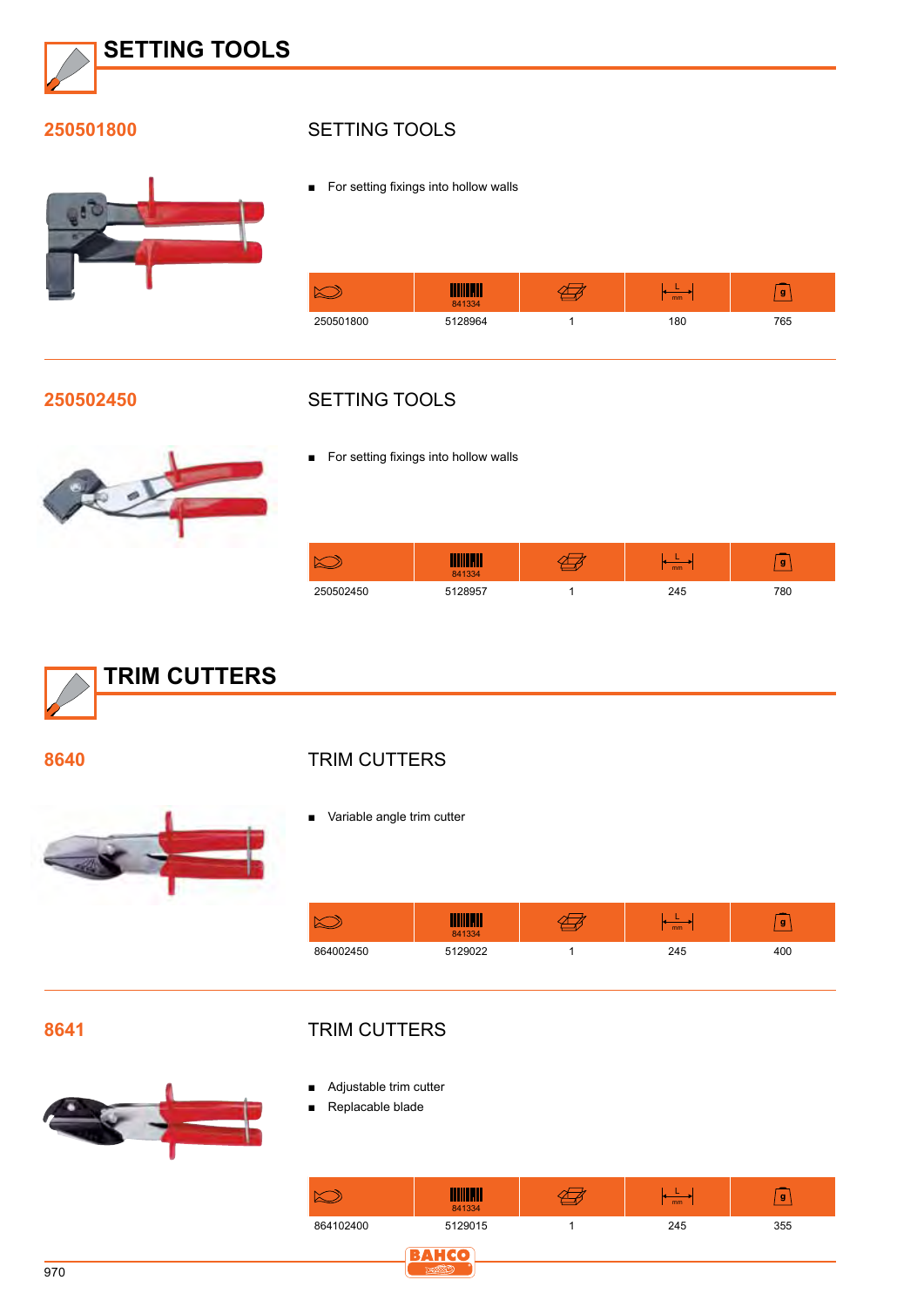

#### **250501800**



#### SETTING TOOLS

■ For setting fixings into hollow walls



#### **250502450**

#### SETTING TOOLS



■ For setting fixings into hollow walls

|           | 841334  | mm  | g   |
|-----------|---------|-----|-----|
| 250502450 | 5128957 | 245 | 780 |



- **TRIM CUTTERS**
- Variable angle trim cutter

|           | 841334  | mm  | g   |
|-----------|---------|-----|-----|
| 864002450 | 5129022 | 245 | 400 |

**8641**

**8640**

#### **TRIM CUTTERS**

- Adjustable trim cutter
- Replacable blade